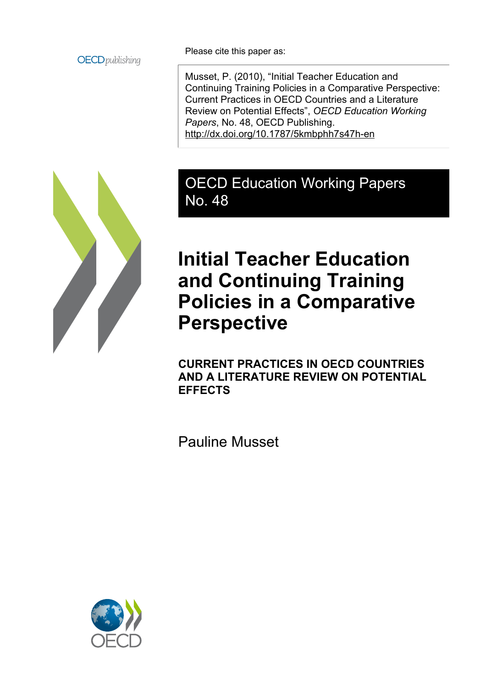

Please cite this paper as:

Musset, P. (2010), "Initial Teacher Education and Continuing Training Policies in a Comparative Perspective: Current Practices in OECD Countries and a Literature Review on Potential Effects", *OECD Education Working Papers*, No. 48, OECD Publishing. <http://dx.doi.org/10.1787/5kmbphh7s47h-en>



## OECD Education Working Papers No. 48

# **Initial Teacher Education and Continuing Training Policies in a Comparative Perspective**

**CURRENT PRACTICES IN OECD COUNTRIES AND A LITERATURE REVIEW ON POTENTIAL EFFECTS**

Pauline Musset

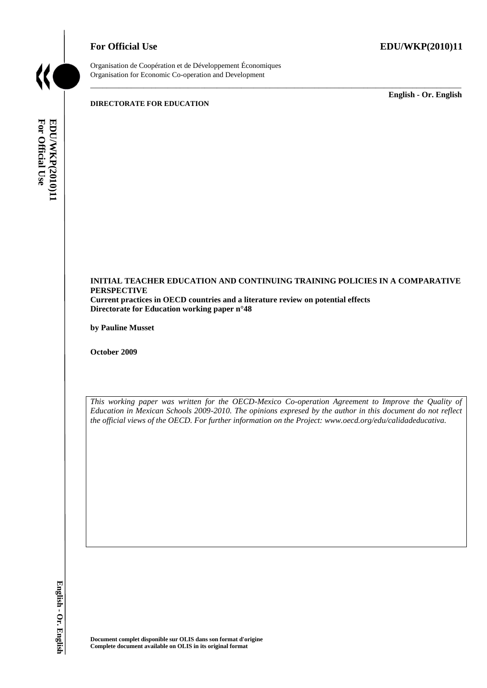

Organisation de Coopération et de Développement Économiques Organisation for Economic Co-operation and Development

**DIRECTORATE FOR EDUCATION**

\_\_\_\_\_\_\_\_\_\_\_\_\_ **English - Or. English**



\_\_\_\_\_\_\_\_\_\_\_\_\_\_\_\_\_\_\_\_\_\_\_\_\_\_\_\_\_\_\_\_\_\_\_\_\_\_\_\_\_\_\_\_\_\_\_\_\_\_\_\_\_\_\_\_\_\_\_\_\_\_\_\_\_\_\_\_\_\_\_\_\_\_\_\_\_\_\_\_\_\_\_\_\_\_\_\_\_\_\_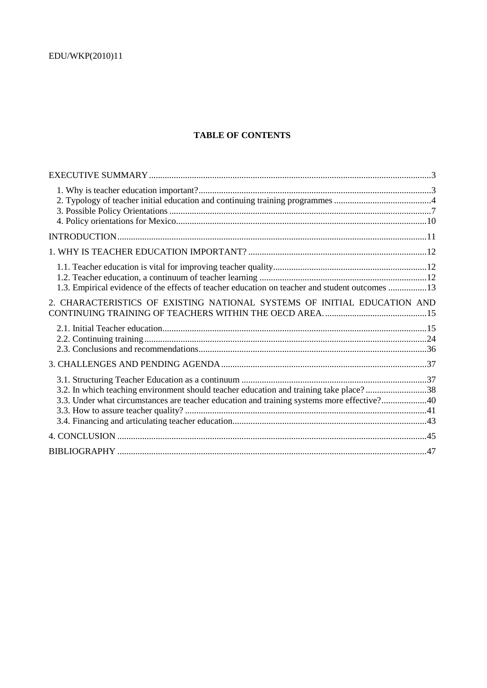### **TABLE OF CONTENTS**

| 1.3. Empirical evidence of the effects of teacher education on teacher and student outcomes 13                                                                                       |  |
|--------------------------------------------------------------------------------------------------------------------------------------------------------------------------------------|--|
| 2. CHARACTERISTICS OF EXISTING NATIONAL SYSTEMS OF INITIAL EDUCATION AND                                                                                                             |  |
|                                                                                                                                                                                      |  |
|                                                                                                                                                                                      |  |
| 3.2. In which teaching environment should teacher education and training take place?38<br>3.3. Under what circumstances are teacher education and training systems more effective?40 |  |
|                                                                                                                                                                                      |  |
|                                                                                                                                                                                      |  |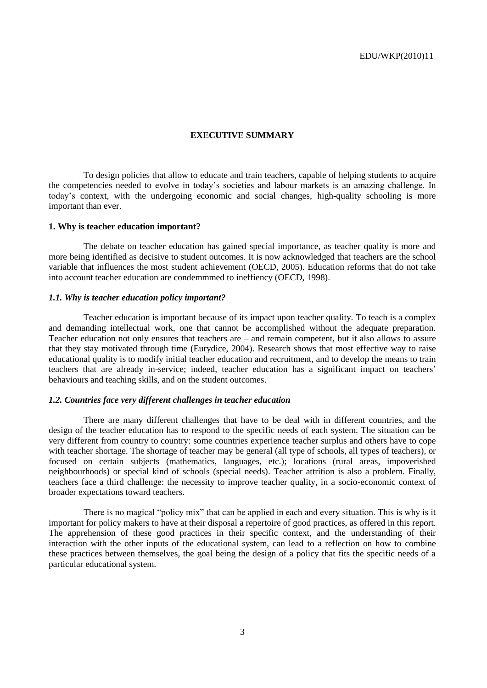### **EXECUTIVE SUMMARY**

To design policies that allow to educate and train teachers, capable of helping students to acquire the competencies needed to evolve in today's societies and labour markets is an amazing challenge. In today's context, with the undergoing economic and social changes, high-quality schooling is more important than ever.

### **1. Why is teacher education important?**

The debate on teacher education has gained special importance, as teacher quality is more and more being identified as decisive to student outcomes. It is now acknowledged that teachers are the school variable that influences the most student achievement (OECD, 2005). Education reforms that do not take into account teacher education are condemmmed to ineffiency (OECD, 1998).

### *1.1. Why is teacher education policy important?*

Teacher education is important because of its impact upon teacher quality. To teach is a complex and demanding intellectual work, one that cannot be accomplished without the adequate preparation. Teacher education not only ensures that teachers are – and remain competent, but it also allows to assure that they stay motivated through time (Eurydice, 2004). Research shows that most effective way to raise educational quality is to modify initial teacher education and recruitment, and to develop the means to train teachers that are already in-service; indeed, teacher education has a significant impact on teachers' behaviours and teaching skills, and on the student outcomes.

### *1.2. Countries face very different challenges in teacher education*

There are many different challenges that have to be deal with in different countries, and the design of the teacher education has to respond to the specific needs of each system. The situation can be very different from country to country: some countries experience teacher surplus and others have to cope with teacher shortage. The shortage of teacher may be general (all type of schools, all types of teachers), or focused on certain subjects (mathematics, languages, etc.); locations (rural areas, impoverished neighbourhoods) or special kind of schools (special needs). Teacher attrition is also a problem. Finally, teachers face a third challenge: the necessity to improve teacher quality, in a socio-economic context of broader expectations toward teachers.

There is no magical "policy mix" that can be applied in each and every situation. This is why is it important for policy makers to have at their disposal a repertoire of good practices, as offered in this report. The apprehension of these good practices in their specific context, and the understanding of their interaction with the other inputs of the educational system, can lead to a reflection on how to combine these practices between themselves, the goal being the design of a policy that fits the specific needs of a particular educational system.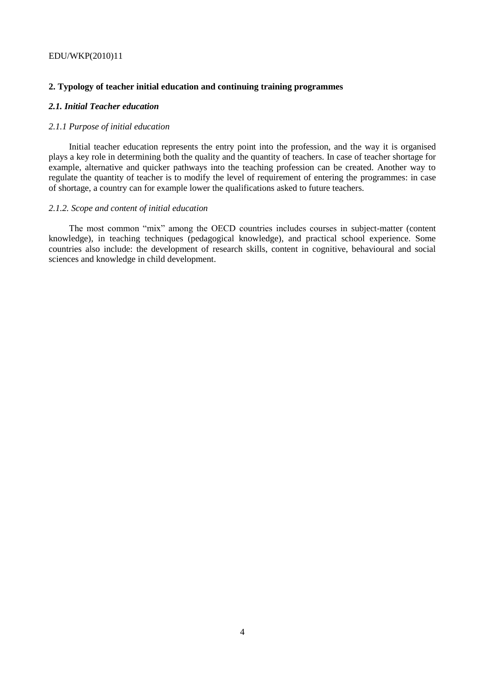### **2. Typology of teacher initial education and continuing training programmes**

### *2.1. Initial Teacher education*

### *2.1.1 Purpose of initial education*

Initial teacher education represents the entry point into the profession, and the way it is organised plays a key role in determining both the quality and the quantity of teachers. In case of teacher shortage for example, alternative and quicker pathways into the teaching profession can be created. Another way to regulate the quantity of teacher is to modify the level of requirement of entering the programmes: in case of shortage, a country can for example lower the qualifications asked to future teachers.

#### *2.1.2. Scope and content of initial education*

The most common "mix" among the OECD countries includes courses in subject-matter (content knowledge), in teaching techniques (pedagogical knowledge), and practical school experience. Some countries also include: the development of research skills, content in cognitive, behavioural and social sciences and knowledge in child development.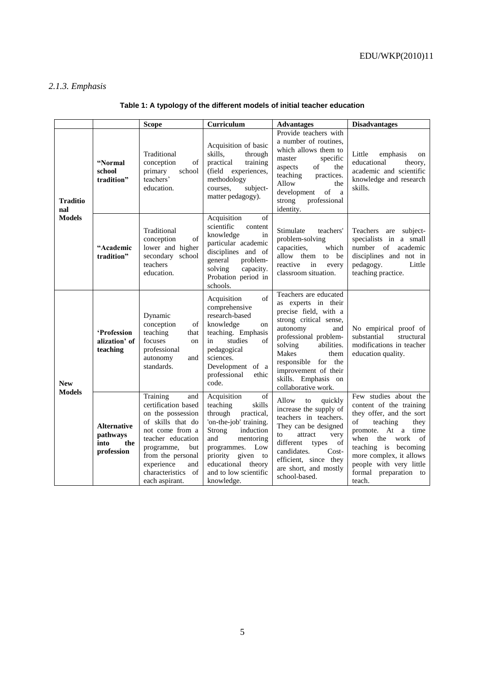## *2.1.3. Emphasis*

|                                  |                                                             | <b>Scope</b>                                                                                                                                                                                                                    | Curriculum                                                                                                                                                                                                                                    | <b>Advantages</b>                                                                                                                                                                                                                                                                  | <b>Disadvantages</b>                                                                                                                                                                                                                                                    |
|----------------------------------|-------------------------------------------------------------|---------------------------------------------------------------------------------------------------------------------------------------------------------------------------------------------------------------------------------|-----------------------------------------------------------------------------------------------------------------------------------------------------------------------------------------------------------------------------------------------|------------------------------------------------------------------------------------------------------------------------------------------------------------------------------------------------------------------------------------------------------------------------------------|-------------------------------------------------------------------------------------------------------------------------------------------------------------------------------------------------------------------------------------------------------------------------|
| Traditio<br>nal<br><b>Models</b> | "Normal<br>school<br>tradition"                             | Traditional<br>of<br>conception<br>primary<br>school<br>teachers'<br>education.                                                                                                                                                 | Acquisition of basic<br>skills,<br>through<br>practical<br>training<br>(field experiences,<br>methodology<br>courses,<br>subject-<br>matter pedagogy).                                                                                        | Provide teachers with<br>a number of routines,<br>which allows them to<br>specific<br>master<br>aspects<br>of<br>the<br>teaching<br>practices.<br>Allow<br>the<br>development<br>of<br>a<br>strong<br>professional<br>identity.                                                    | Little<br>emphasis<br>on<br>educational<br>theory,<br>academic and scientific<br>knowledge and research<br>skills.                                                                                                                                                      |
|                                  | "Academic<br>tradition"                                     | Traditional<br>of<br>conception<br>lower and higher<br>secondary school<br>teachers<br>education.                                                                                                                               | Acquisition<br>of<br>scientific<br>content<br>knowledge<br>in<br>particular academic<br>disciplines and of<br>general<br>problem-<br>solving<br>capacity.<br>Probation period in<br>schools.                                                  | Stimulate<br>teachers'<br>problem-solving<br>capacities,<br>which<br>allow them to be<br>reactive<br>in<br>every<br>classroom situation.                                                                                                                                           | Teachers are subject-<br>specialists in a small<br>number of academic<br>disciplines and not in<br>pedagogy.<br>Little<br>teaching practice.                                                                                                                            |
| <b>New</b><br><b>Models</b>      | 'Profession<br>alization' of<br>teaching                    | Dynamic<br>conception<br>of<br>teaching<br>that<br>focuses<br>on<br>professional<br>autonomy<br>and<br>standards.                                                                                                               | of<br>Acquisition<br>comprehensive<br>research-based<br>knowledge<br>on<br>teaching. Emphasis<br>studies<br>in<br>of<br>pedagogical<br>sciences.<br>Development of a<br>professional<br>ethic<br>code.                                        | Teachers are educated<br>as experts in their<br>precise field, with a<br>strong critical sense,<br>autonomy<br>and<br>professional problem-<br>solving<br>abilities.<br>Makes<br>them<br>responsible for the<br>improvement of their<br>skills. Emphasis on<br>collaborative work. | No empirical proof of<br>substantial<br>structural<br>modifications in teacher<br>education quality.                                                                                                                                                                    |
|                                  | <b>Alternative</b><br>pathways<br>the<br>into<br>profession | Training<br>and<br>certification based<br>on the possession<br>of skills that do<br>not come from a<br>teacher education<br>programme,<br>but<br>from the personal<br>experience<br>and<br>characteristics of<br>each aspirant. | Acquisition<br>of<br>teaching<br>skills<br>through<br>practical,<br>'on-the-job' training.<br>Strong<br>induction<br>and<br>mentoring<br>programmes.<br>Low<br>priority given to<br>educational theory<br>and to low scientific<br>knowledge. | Allow<br>to<br>quickly<br>increase the supply of<br>teachers in teachers.<br>They can be designed<br>$\quad$ attract<br>to<br>very<br>different<br>of<br>types<br>candidates.<br>$Cost-$<br>efficient, since they<br>are short, and mostly<br>school-based.                        | Few studies about the<br>content of the training<br>they offer, and the sort<br>teaching<br>of<br>they<br>promote. At a time<br>when the<br>work<br>of<br>teaching is becoming<br>more complex, it allows<br>people with very little<br>formal preparation to<br>teach. |

## **Table 1: A typology of the different models of initial teacher education**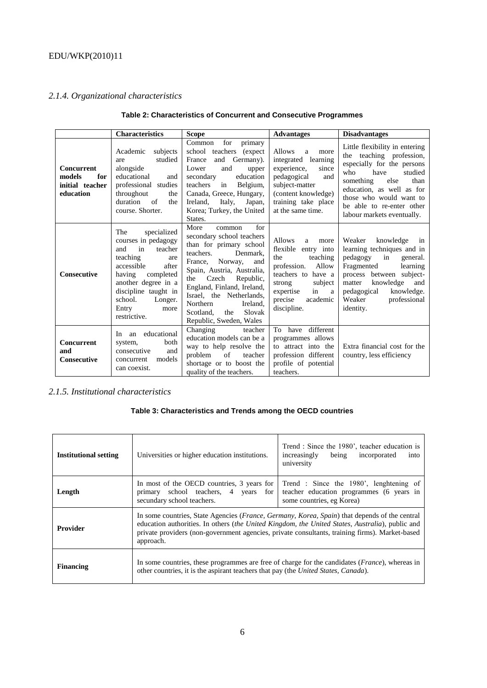### *2.1.4. Organizational characteristics*

|                                                                    | Characteristics                                                                                                                                                                                                                          | <b>Scope</b>                                                                                                                                                                                                                                                                                                                              | <b>Advantages</b>                                                                                                                                                                                           | <b>Disadvantages</b>                                                                                                                                                                                                                                                  |
|--------------------------------------------------------------------|------------------------------------------------------------------------------------------------------------------------------------------------------------------------------------------------------------------------------------------|-------------------------------------------------------------------------------------------------------------------------------------------------------------------------------------------------------------------------------------------------------------------------------------------------------------------------------------------|-------------------------------------------------------------------------------------------------------------------------------------------------------------------------------------------------------------|-----------------------------------------------------------------------------------------------------------------------------------------------------------------------------------------------------------------------------------------------------------------------|
| <b>Concurrent</b><br>models<br>for<br>initial teacher<br>education | subjects<br>Academic<br>studied<br>are<br>alongside<br>educational<br>and<br>professional studies<br>throughout<br>the<br>duration<br>of<br>the<br>course. Shorter.                                                                      | for<br>Common<br>primary<br>school teachers (expect<br>France<br>and Germany).<br>and<br>Lower<br>upper<br>education<br>secondary<br>teachers<br>Belgium,<br>in<br>Canada, Greece, Hungary,<br>Ireland.<br>Italy,<br>Japan,<br>Korea; Turkey, the United<br>States.                                                                       | <b>Allows</b><br>more<br>a<br>integrated learning<br>experience,<br>since<br>pedagogical<br>and<br>subject-matter<br>(content knowledge)<br>training take place<br>at the same time.                        | Little flexibility in entering<br>teaching profession,<br>the<br>especially for the persons<br>who<br>have<br>studied<br>something<br>than<br>else<br>education, as well as for<br>those who would want to<br>be able to re-enter other<br>labour markets eventually. |
| <b>Consecutive</b>                                                 | The<br>specialized<br>courses in pedagogy<br>in<br>and<br>teacher<br>teaching<br>are<br>accessible<br>after<br>having<br>completed<br>another degree in a<br>discipline taught in<br>school.<br>Longer.<br>Entry<br>more<br>restrictive. | for<br>More<br>common<br>secondary school teachers<br>than for primary school<br>teachers.<br>Denmark,<br>France.<br>Norway,<br>and<br>Spain, Austria, Australia,<br>Czech<br>the<br>Republic,<br>England, Finland, Ireland,<br>Israel, the Netherlands,<br>Northern<br>Ireland.<br>Scotland.<br>Slovak<br>the<br>Republic, Sweden, Wales | <b>Allows</b><br>a<br>more<br>flexible<br>entry into<br>teaching<br>the<br>profession.<br>Allow<br>teachers to<br>have a<br>subject<br>strong<br>expertise<br>in<br>a<br>precise<br>academic<br>discipline. | Weaker<br>knowledge<br>in<br>learning techniques and in<br>pedagogy<br>in<br>general.<br>Fragmented<br>learning<br>process between subject-<br>knowledge<br>matter<br>and<br>pedagogical<br>knowledge.<br>Weaker<br>professional<br>identity.                         |
| <b>Concurrent</b><br>and<br><b>Consecutive</b>                     | educational<br>In.<br>an<br>both<br>system,<br>consecutive<br>and<br>models<br>concurrent<br>can coexist.                                                                                                                                | Changing<br>teacher<br>education models can be a<br>way to help resolve the<br>teacher<br>problem<br>of<br>shortage or to boost the<br>quality of the teachers.                                                                                                                                                                           | To have different<br>programmes allows<br>to attract into the<br>profession different<br>profile of potential<br>teachers.                                                                                  | Extra financial cost for the<br>country, less efficiency                                                                                                                                                                                                              |

### **Table 2: Characteristics of Concurrent and Consecutive Programmes**

### *2.1.5. Institutional characteristics*

### **Table 3: Characteristics and Trends among the OECD countries**

| <b>Institutional setting</b> | Universities or higher education institutions.                                                                                                                                                                                                                                                                          | Trend: Since the 1980', teacher education is<br>increasingly<br>being<br>incorporated<br>into<br>university      |  |  |  |  |  |  |
|------------------------------|-------------------------------------------------------------------------------------------------------------------------------------------------------------------------------------------------------------------------------------------------------------------------------------------------------------------------|------------------------------------------------------------------------------------------------------------------|--|--|--|--|--|--|
| Length                       | In most of the OECD countries, 3 years for<br>primary school teachers, 4 years for<br>secundary school teachers.                                                                                                                                                                                                        | Trend : Since the 1980', lenghtening of<br>teacher education programmes (6 years in<br>some countries, eg Korea) |  |  |  |  |  |  |
| <b>Provider</b>              | In some countries, State Agencies (France, Germany, Korea, Spain) that depends of the central<br>education authorities. In others <i>(the United Kingdom, the United States, Australia)</i> , public and<br>private providers (non-government agencies, private consultants, training firms). Market-based<br>approach. |                                                                                                                  |  |  |  |  |  |  |
| <b>Financing</b>             | other countries, it is the aspirant teachers that pay (the United States, Canada).                                                                                                                                                                                                                                      | In some countries, these programmes are free of charge for the candidates ( <i>France</i> ), whereas in          |  |  |  |  |  |  |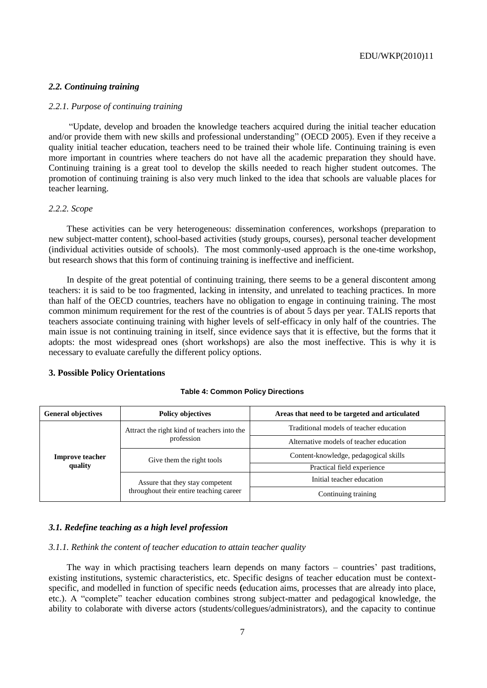### *2.2. Continuing training*

### *2.2.1. Purpose of continuing training*

―Update, develop and broaden the knowledge teachers acquired during the initial teacher education and/or provide them with new skills and professional understanding" (OECD 2005). Even if they receive a quality initial teacher education, teachers need to be trained their whole life. Continuing training is even more important in countries where teachers do not have all the academic preparation they should have. Continuing training is a great tool to develop the skills needed to reach higher student outcomes. The promotion of continuing training is also very much linked to the idea that schools are valuable places for teacher learning.

#### *2.2.2. Scope*

These activities can be very heterogeneous: dissemination conferences, workshops (preparation to new subject-matter content), school-based activities (study groups, courses), personal teacher development (individual activities outside of schools). The most commonly-used approach is the one-time workshop, but research shows that this form of continuing training is ineffective and inefficient.

In despite of the great potential of continuing training, there seems to be a general discontent among teachers: it is said to be too fragmented, lacking in intensity, and unrelated to teaching practices. In more than half of the OECD countries, teachers have no obligation to engage in continuing training. The most common minimum requirement for the rest of the countries is of about 5 days per year. TALIS reports that teachers associate continuing training with higher levels of self-efficacy in only half of the countries. The main issue is not continuing training in itself, since evidence says that it is effective, but the forms that it adopts: the most widespread ones (short workshops) are also the most ineffective. This is why it is necessary to evaluate carefully the different policy options.

### **3. Possible Policy Orientations**

#### **Table 4: Common Policy Directions**

| <b>General objectives</b>         | <b>Policy objectives</b>                    | Areas that need to be targeted and articulated |  |  |  |  |
|-----------------------------------|---------------------------------------------|------------------------------------------------|--|--|--|--|
| <b>Improve teacher</b><br>quality | Attract the right kind of teachers into the | Traditional models of teacher education        |  |  |  |  |
|                                   | profession                                  | Alternative models of teacher education        |  |  |  |  |
|                                   | Give them the right tools                   | Content-knowledge, pedagogical skills          |  |  |  |  |
|                                   |                                             | Practical field experience                     |  |  |  |  |
|                                   | Assure that they stay competent             | Initial teacher education                      |  |  |  |  |
|                                   | throughout their entire teaching career     | Continuing training                            |  |  |  |  |

### *3.1. Redefine teaching as a high level profession*

### *3.1.1. Rethink the content of teacher education to attain teacher quality*

The way in which practising teachers learn depends on many factors – countries' past traditions, existing institutions, systemic characteristics, etc. Specific designs of teacher education must be contextspecific, and modelled in function of specific needs **(**education aims, processes that are already into place, etc.). A "complete" teacher education combines strong subject-matter and pedagogical knowledge, the ability to colaborate with diverse actors (students/collegues/administrators), and the capacity to continue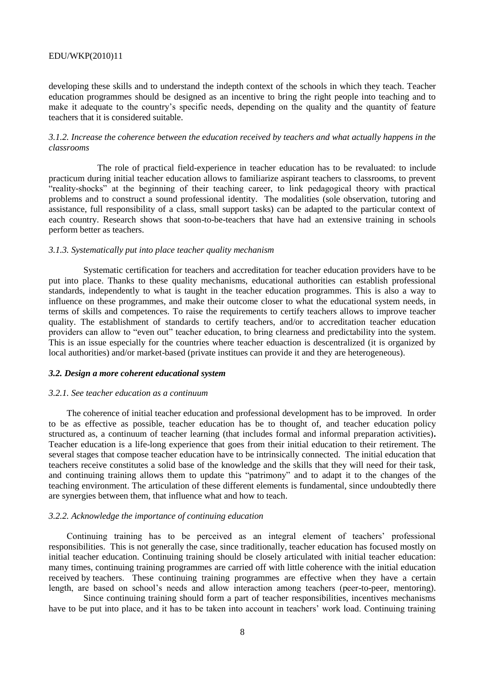developing these skills and to understand the indepth context of the schools in which they teach. Teacher education programmes should be designed as an incentive to bring the right people into teaching and to make it adequate to the country's specific needs, depending on the quality and the quantity of feature teachers that it is considered suitable.

### *3.1.2. Increase the coherence between the education received by teachers and what actually happens in the classrooms*

The role of practical field-experience in teacher education has to be revaluated: to include practicum during initial teacher education allows to familiarize aspirant teachers to classrooms, to prevent ―reality-shocks‖ at the beginning of their teaching career, to link pedagogical theory with practical problems and to construct a sound professional identity. The modalities (sole observation, tutoring and assistance, full responsibility of a class, small support tasks) can be adapted to the particular context of each country. Research shows that soon-to-be-teachers that have had an extensive training in schools perform better as teachers.

### *3.1.3. Systematically put into place teacher quality mechanism*

Systematic certification for teachers and accreditation for teacher education providers have to be put into place. Thanks to these quality mechanisms, educational authorities can establish professional standards, independently to what is taught in the teacher education programmes. This is also a way to influence on these programmes, and make their outcome closer to what the educational system needs, in terms of skills and competences. To raise the requirements to certify teachers allows to improve teacher quality. The establishment of standards to certify teachers, and/or to accreditation teacher education providers can allow to "even out" teacher education, to bring clearness and predictability into the system. This is an issue especially for the countries where teacher eduaction is descentralized (it is organized by local authorities) and/or market-based (private institues can provide it and they are heterogeneous).

### *3.2. Design a more coherent educational system*

#### *3.2.1. See teacher education as a continuum*

The coherence of initial teacher education and professional development has to be improved. In order to be as effective as possible, teacher education has be to thought of, and teacher education policy structured as, a continuum of teacher learning (that includes formal and informal preparation activities)**.**  Teacher education is a life-long experience that goes from their initial education to their retirement. The several stages that compose teacher education have to be intrinsically connected. The initial education that teachers receive constitutes a solid base of the knowledge and the skills that they will need for their task, and continuing training allows them to update this "patrimony" and to adapt it to the changes of the teaching environment. The articulation of these different elements is fundamental, since undoubtedly there are synergies between them, that influence what and how to teach.

#### *3.2.2. Acknowledge the importance of continuing education*

Continuing training has to be perceived as an integral element of teachers' professional responsibilities. This is not generally the case, since traditionally, teacher education has focused mostly on initial teacher education. Continuing training should be closely articulated with initial teacher education: many times, continuing training programmes are carried off with little coherence with the initial education received by teachers. These continuing training programmes are effective when they have a certain length, are based on school's needs and allow interaction among teachers (peer-to-peer, mentoring).

Since continuing training should form a part of teacher responsibilities, incentives mechanisms have to be put into place, and it has to be taken into account in teachers' work load. Continuing training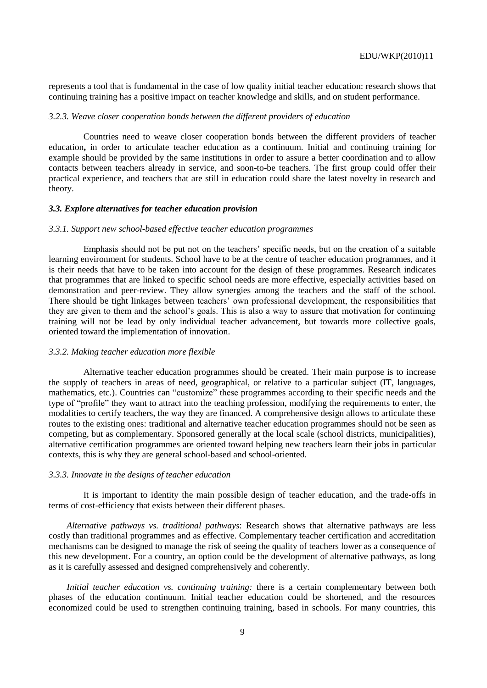represents a tool that is fundamental in the case of low quality initial teacher education: research shows that continuing training has a positive impact on teacher knowledge and skills, and on student performance.

### *3.2.3. Weave closer cooperation bonds between the different providers of education*

Countries need to weave closer cooperation bonds between the different providers of teacher education**,** in order to articulate teacher education as a continuum. Initial and continuing training for example should be provided by the same institutions in order to assure a better coordination and to allow contacts between teachers already in service, and soon-to-be teachers. The first group could offer their practical experience, and teachers that are still in education could share the latest novelty in research and theory.

### *3.3. Explore alternatives for teacher education provision*

### *3.3.1. Support new school-based effective teacher education programmes*

Emphasis should not be put not on the teachers' specific needs, but on the creation of a suitable learning environment for students. School have to be at the centre of teacher education programmes, and it is their needs that have to be taken into account for the design of these programmes. Research indicates that programmes that are linked to specific school needs are more effective, especially activities based on demonstration and peer-review. They allow synergies among the teachers and the staff of the school. There should be tight linkages between teachers' own professional development, the responsibilities that they are given to them and the school's goals. This is also a way to assure that motivation for continuing training will not be lead by only individual teacher advancement, but towards more collective goals, oriented toward the implementation of innovation.

### *3.3.2. Making teacher education more flexible*

Alternative teacher education programmes should be created. Their main purpose is to increase the supply of teachers in areas of need, geographical, or relative to a particular subject (IT, languages, mathematics, etc.). Countries can "customize" these programmes according to their specific needs and the type of "profile" they want to attract into the teaching profession, modifying the requirements to enter, the modalities to certify teachers, the way they are financed. A comprehensive design allows to articulate these routes to the existing ones: traditional and alternative teacher education programmes should not be seen as competing, but as complementary. Sponsored generally at the local scale (school districts, municipalities), alternative certification programmes are oriented toward helping new teachers learn their jobs in particular contexts, this is why they are general school-based and school-oriented.

### *3.3.3. Innovate in the designs of teacher education*

It is important to identity the main possible design of teacher education, and the trade-offs in terms of cost-efficiency that exists between their different phases.

*Alternative pathways vs. traditional pathways*: Research shows that alternative pathways are less costly than traditional programmes and as effective. Complementary teacher certification and accreditation mechanisms can be designed to manage the risk of seeing the quality of teachers lower as a consequence of this new development. For a country, an option could be the development of alternative pathways, as long as it is carefully assessed and designed comprehensively and coherently.

*Initial teacher education vs. continuing training:* there is a certain complementary between both phases of the education continuum. Initial teacher education could be shortened, and the resources economized could be used to strengthen continuing training, based in schools. For many countries, this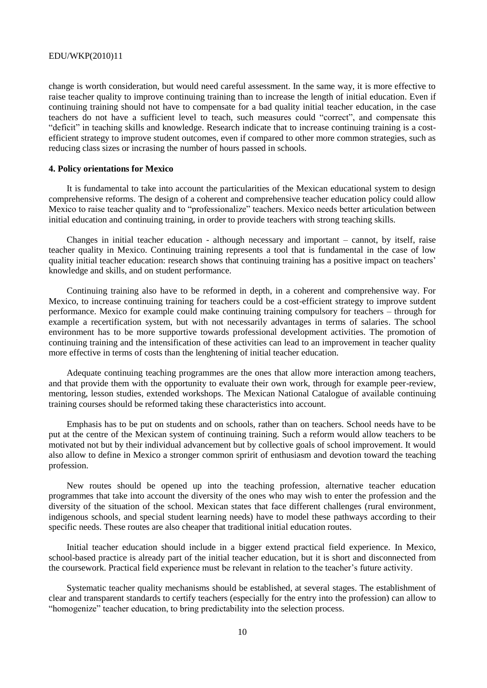change is worth consideration, but would need careful assessment. In the same way, it is more effective to raise teacher quality to improve continuing training than to increase the length of initial education. Even if continuing training should not have to compensate for a bad quality initial teacher education, in the case teachers do not have a sufficient level to teach, such measures could "correct", and compensate this "deficit" in teaching skills and knowledge. Research indicate that to increase continuing training is a costefficient strategy to improve student outcomes, even if compared to other more common strategies, such as reducing class sizes or incrasing the number of hours passed in schools.

### **4. Policy orientations for Mexico**

It is fundamental to take into account the particularities of the Mexican educational system to design comprehensive reforms. The design of a coherent and comprehensive teacher education policy could allow Mexico to raise teacher quality and to "professionalize" teachers. Mexico needs better articulation between initial education and continuing training, in order to provide teachers with strong teaching skills.

Changes in initial teacher education - although necessary and important – cannot, by itself, raise teacher quality in Mexico. Continuing training represents a tool that is fundamental in the case of low quality initial teacher education: research shows that continuing training has a positive impact on teachers' knowledge and skills, and on student performance.

Continuing training also have to be reformed in depth, in a coherent and comprehensive way. For Mexico, to increase continuing training for teachers could be a cost-efficient strategy to improve sutdent performance. Mexico for example could make continuing training compulsory for teachers – through for example a recertification system, but with not necessarily advantages in terms of salaries. The school environment has to be more supportive towards professional development activities. The promotion of continuing training and the intensification of these activities can lead to an improvement in teacher quality more effective in terms of costs than the lenghtening of initial teacher education.

Adequate continuing teaching programmes are the ones that allow more interaction among teachers, and that provide them with the opportunity to evaluate their own work, through for example peer-review, mentoring, lesson studies, extended workshops. The Mexican National Catalogue of available continuing training courses should be reformed taking these characteristics into account.

Emphasis has to be put on students and on schools, rather than on teachers. School needs have to be put at the centre of the Mexican system of continuing training. Such a reform would allow teachers to be motivated not but by their individual advancement but by collective goals of school improvement. It would also allow to define in Mexico a stronger common spririt of enthusiasm and devotion toward the teaching profession.

New routes should be opened up into the teaching profession, alternative teacher education programmes that take into account the diversity of the ones who may wish to enter the profession and the diversity of the situation of the school. Mexican states that face different challenges (rural environment, indigenous schools, and special student learning needs) have to model these pathways according to their specific needs. These routes are also cheaper that traditional initial education routes.

Initial teacher education should include in a bigger extend practical field experience. In Mexico, school-based practice is already part of the initial teacher education, but it is short and disconnected from the coursework. Practical field experience must be relevant in relation to the teacher's future activity.

Systematic teacher quality mechanisms should be established, at several stages. The establishment of clear and transparent standards to certify teachers (especially for the entry into the profession) can allow to "homogenize" teacher education, to bring predictability into the selection process.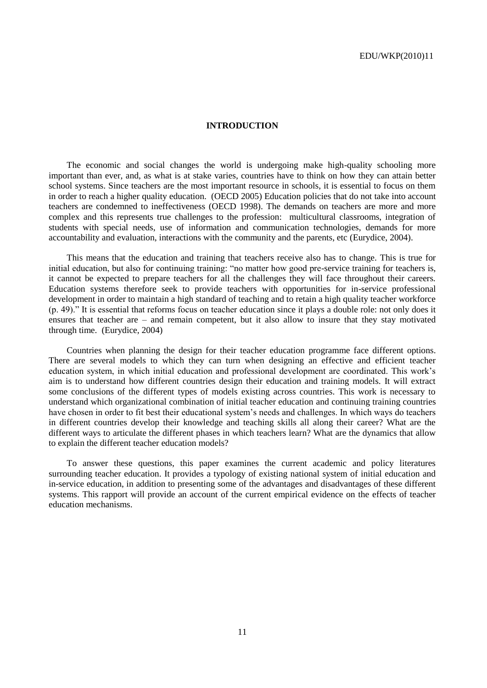### **INTRODUCTION**

The economic and social changes the world is undergoing make high-quality schooling more important than ever, and, as what is at stake varies, countries have to think on how they can attain better school systems. Since teachers are the most important resource in schools, it is essential to focus on them in order to reach a higher quality education. (OECD 2005) Education policies that do not take into account teachers are condemned to ineffectiveness (OECD 1998). The demands on teachers are more and more complex and this represents true challenges to the profession: multicultural classrooms, integration of students with special needs, use of information and communication technologies, demands for more accountability and evaluation, interactions with the community and the parents, etc (Eurydice, 2004).

This means that the education and training that teachers receive also has to change. This is true for initial education, but also for continuing training: "no matter how good pre-service training for teachers is, it cannot be expected to prepare teachers for all the challenges they will face throughout their careers. Education systems therefore seek to provide teachers with opportunities for in-service professional development in order to maintain a high standard of teaching and to retain a high quality teacher workforce (p. 49).‖ It is essential that reforms focus on teacher education since it plays a double role: not only does it ensures that teacher are – and remain competent, but it also allow to insure that they stay motivated through time. (Eurydice, 2004)

Countries when planning the design for their teacher education programme face different options. There are several models to which they can turn when designing an effective and efficient teacher education system, in which initial education and professional development are coordinated. This work's aim is to understand how different countries design their education and training models. It will extract some conclusions of the different types of models existing across countries. This work is necessary to understand which organizational combination of initial teacher education and continuing training countries have chosen in order to fit best their educational system's needs and challenges. In which ways do teachers in different countries develop their knowledge and teaching skills all along their career? What are the different ways to articulate the different phases in which teachers learn? What are the dynamics that allow to explain the different teacher education models?

To answer these questions, this paper examines the current academic and policy literatures surrounding teacher education. It provides a typology of existing national system of initial education and in-service education, in addition to presenting some of the advantages and disadvantages of these different systems. This rapport will provide an account of the current empirical evidence on the effects of teacher education mechanisms.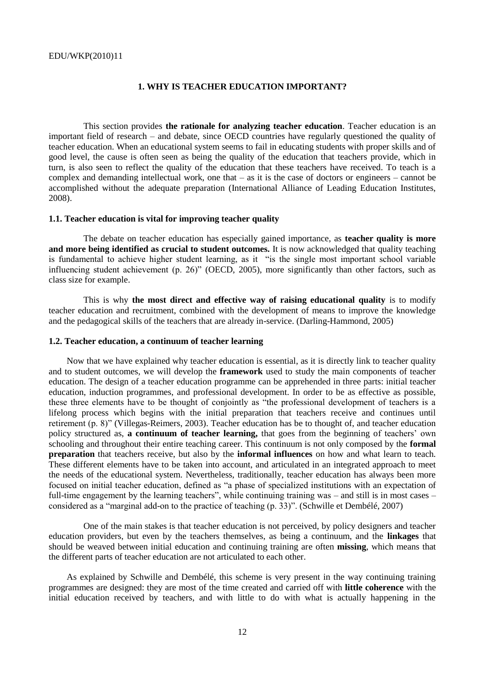### **1. WHY IS TEACHER EDUCATION IMPORTANT?**

This section provides **the rationale for analyzing teacher education**. Teacher education is an important field of research – and debate, since OECD countries have regularly questioned the quality of teacher education. When an educational system seems to fail in educating students with proper skills and of good level, the cause is often seen as being the quality of the education that teachers provide, which in turn, is also seen to reflect the quality of the education that these teachers have received. To teach is a complex and demanding intellectual work, one that – as it is the case of doctors or engineers – cannot be accomplished without the adequate preparation (International Alliance of Leading Education Institutes, 2008).

### **1.1. Teacher education is vital for improving teacher quality**

The debate on teacher education has especially gained importance, as **teacher quality is more and more being identified as crucial to student outcomes.** It is now acknowledged that quality teaching is fundamental to achieve higher student learning, as it "is the single most important school variable influencing student achievement (p. 26)" (OECD, 2005), more significantly than other factors, such as class size for example.

This is why **the most direct and effective way of raising educational quality** is to modify teacher education and recruitment, combined with the development of means to improve the knowledge and the pedagogical skills of the teachers that are already in-service. (Darling-Hammond, 2005)

#### **1.2. Teacher education, a continuum of teacher learning**

Now that we have explained why teacher education is essential, as it is directly link to teacher quality and to student outcomes, we will develop the **framework** used to study the main components of teacher education. The design of a teacher education programme can be apprehended in three parts: initial teacher education, induction programmes, and professional development. In order to be as effective as possible, these three elements have to be thought of conjointly as "the professional development of teachers is a lifelong process which begins with the initial preparation that teachers receive and continues until retirement (p. 8)" (Villegas-Reimers, 2003). Teacher education has be to thought of, and teacher education policy structured as, **a continuum of teacher learning,** that goes from the beginning of teachers' own schooling and throughout their entire teaching career. This continuum is not only composed by the **formal preparation** that teachers receive, but also by the **informal influences** on how and what learn to teach. These different elements have to be taken into account, and articulated in an integrated approach to meet the needs of the educational system. Nevertheless, traditionally, teacher education has always been more focused on initial teacher education, defined as "a phase of specialized institutions with an expectation of full-time engagement by the learning teachers", while continuing training was – and still is in most cases – considered as a "marginal add-on to the practice of teaching  $(p, 33)$ ". (Schwille et Dembélé, 2007)

One of the main stakes is that teacher education is not perceived, by policy designers and teacher education providers, but even by the teachers themselves, as being a continuum, and the **linkages** that should be weaved between initial education and continuing training are often **missing**, which means that the different parts of teacher education are not articulated to each other.

As explained by Schwille and Dembélé, this scheme is very present in the way continuing training programmes are designed: they are most of the time created and carried off with **little coherence** with the initial education received by teachers, and with little to do with what is actually happening in the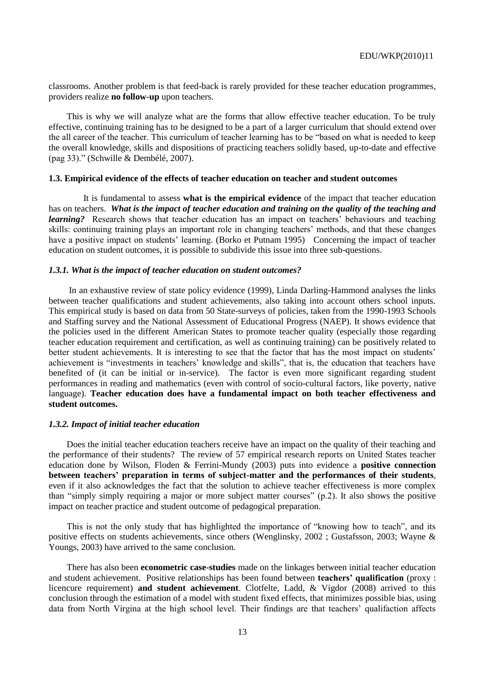classrooms. Another problem is that feed-back is rarely provided for these teacher education programmes, providers realize **no follow-up** upon teachers.

This is why we will analyze what are the forms that allow effective teacher education. To be truly effective, continuing training has to be designed to be a part of a larger curriculum that should extend over the all career of the teacher. This curriculum of teacher learning has to be "based on what is needed to keep the overall knowledge, skills and dispositions of practicing teachers solidly based, up-to-date and effective  $(pag 33)$ ." (Schwille & Dembélé, 2007).

### **1.3. Empirical evidence of the effects of teacher education on teacher and student outcomes**

It is fundamental to assess **what is the empirical evidence** of the impact that teacher education has on teachers. *What is the impact of teacher education and training on the quality of the teaching and learning?* Research shows that teacher education has an impact on teachers' behaviours and teaching skills: continuing training plays an important role in changing teachers' methods, and that these changes have a positive impact on students' learning. (Borko et Putnam 1995) Concerning the impact of teacher education on student outcomes, it is possible to subdivide this issue into three sub-questions.

### *1.3.1. What is the impact of teacher education on student outcomes?*

In an exhaustive review of state policy evidence (1999), Linda Darling-Hammond analyses the links between teacher qualifications and student achievements, also taking into account others school inputs. This empirical study is based on data from 50 State-surveys of policies, taken from the 1990-1993 Schools and Staffing survey and the National Assessment of Educational Progress (NAEP). It shows evidence that the policies used in the different American States to promote teacher quality (especially those regarding teacher education requirement and certification, as well as continuing training) can be positively related to better student achievements. It is interesting to see that the factor that has the most impact on students' achievement is "investments in teachers' knowledge and skills", that is, the education that teachers have benefited of (it can be initial or in-service). The factor is even more significant regarding student performances in reading and mathematics (even with control of socio-cultural factors, like poverty, native language). **Teacher education does have a fundamental impact on both teacher effectiveness and student outcomes.**

### *1.3.2. Impact of initial teacher education*

Does the initial teacher education teachers receive have an impact on the quality of their teaching and the performance of their students? The review of 57 empirical research reports on United States teacher education done by Wilson, Floden & Ferrini-Mundy (2003) puts into evidence a **positive connection between teachers" preparation in terms of subject-matter and the performances of their students**, even if it also acknowledges the fact that the solution to achieve teacher effectiveness is more complex than "simply simply requiring a major or more subject matter courses"  $(p, 2)$ . It also shows the positive impact on teacher practice and student outcome of pedagogical preparation.

This is not the only study that has highlighted the importance of "knowing how to teach", and its positive effects on students achievements, since others (Wenglinsky, 2002 ; Gustafsson, 2003; Wayne & Youngs, 2003) have arrived to the same conclusion.

There has also been **econometric case-studies** made on the linkages between initial teacher education and student achievement. Positive relationships has been found between **teachers" qualification** (proxy : licencure requirement) **and student achievement**. Clotfelte, Ladd, & Vigdor (2008) arrived to this conclusion through the estimation of a model with student fixed effects, that minimizes possible bias, using data from North Virgina at the high school level. Their findings are that teachers' qualifaction affects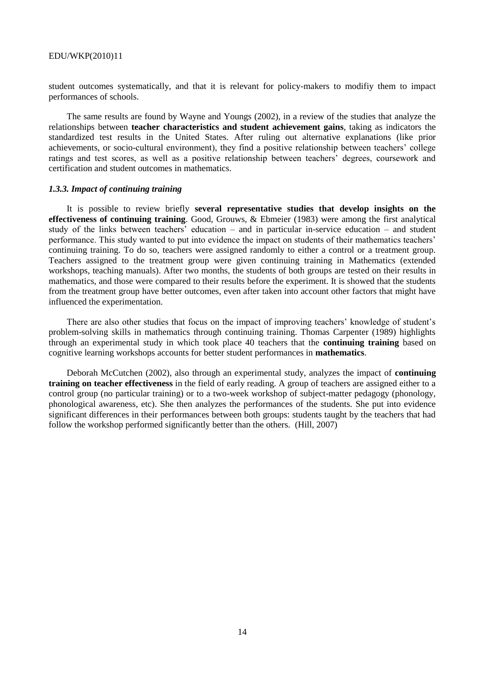student outcomes systematically, and that it is relevant for policy-makers to modifiy them to impact performances of schools.

The same results are found by Wayne and Youngs (2002), in a review of the studies that analyze the relationships between **teacher characteristics and student achievement gains**, taking as indicators the standardized test results in the United States. After ruling out alternative explanations (like prior achievements, or socio-cultural environment), they find a positive relationship between teachers' college ratings and test scores, as well as a positive relationship between teachers' degrees, coursework and certification and student outcomes in mathematics.

### *1.3.3. Impact of continuing training*

It is possible to review briefly **several representative studies that develop insights on the effectiveness of continuing training**. Good, Grouws, & Ebmeier (1983) were among the first analytical study of the links between teachers' education – and in particular in-service education – and student performance. This study wanted to put into evidence the impact on students of their mathematics teachers' continuing training. To do so, teachers were assigned randomly to either a control or a treatment group. Teachers assigned to the treatment group were given continuing training in Mathematics (extended workshops, teaching manuals). After two months, the students of both groups are tested on their results in mathematics, and those were compared to their results before the experiment. It is showed that the students from the treatment group have better outcomes, even after taken into account other factors that might have influenced the experimentation.

There are also other studies that focus on the impact of improving teachers' knowledge of student's problem-solving skills in mathematics through continuing training. Thomas Carpenter (1989) highlights through an experimental study in which took place 40 teachers that the **continuing training** based on cognitive learning workshops accounts for better student performances in **mathematics**.

Deborah McCutchen (2002), also through an experimental study, analyzes the impact of **continuing training on teacher effectiveness** in the field of early reading. A group of teachers are assigned either to a control group (no particular training) or to a two-week workshop of subject-matter pedagogy (phonology, phonological awareness, etc). She then analyzes the performances of the students. She put into evidence significant differences in their performances between both groups: students taught by the teachers that had follow the workshop performed significantly better than the others. (Hill, 2007)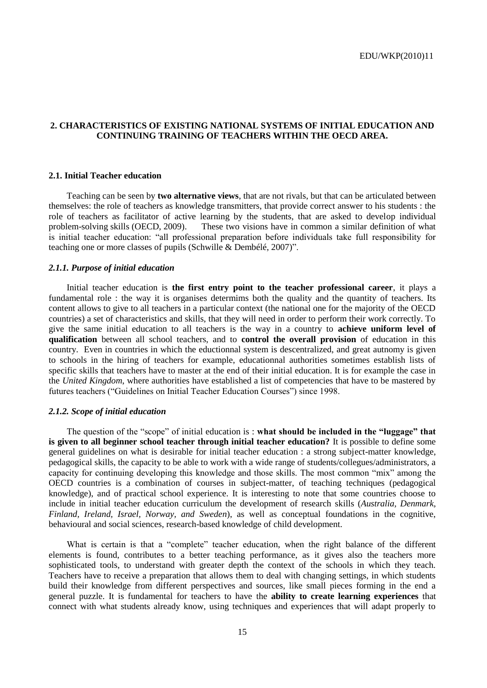### **2. CHARACTERISTICS OF EXISTING NATIONAL SYSTEMS OF INITIAL EDUCATION AND CONTINUING TRAINING OF TEACHERS WITHIN THE OECD AREA.**

### **2.1. Initial Teacher education**

Teaching can be seen by **two alternative views**, that are not rivals, but that can be articulated between themselves: the role of teachers as knowledge transmitters, that provide correct answer to his students : the role of teachers as facilitator of active learning by the students, that are asked to develop individual problem-solving skills (OECD, 2009). These two visions have in common a similar definition of what is initial teacher education: "all professional preparation before individuals take full responsibility for teaching one or more classes of pupils (Schwille & Dembélé, 2007)".

### *2.1.1. Purpose of initial education*

Initial teacher education is **the first entry point to the teacher professional career**, it plays a fundamental role : the way it is organises determims both the quality and the quantity of teachers. Its content allows to give to all teachers in a particular context (the national one for the majority of the OECD countries) a set of characteristics and skills, that they will need in order to perform their work correctly. To give the same initial education to all teachers is the way in a country to **achieve uniform level of qualification** between all school teachers, and to **control the overall provision** of education in this country. Even in countries in which the eductionnal system is descentralized, and great autnomy is given to schools in the hiring of teachers for example, educationnal authorities sometimes establish lists of specific skills that teachers have to master at the end of their initial education. It is for example the case in the *United Kingdom*, where authorities have established a list of competencies that have to be mastered by futures teachers ("Guidelines on Initial Teacher Education Courses") since 1998.

### *2.1.2. Scope of initial education*

The question of the "scope" of initial education is : **what should be included in the "luggage" that is given to all beginner school teacher through initial teacher education?** It is possible to define some general guidelines on what is desirable for initial teacher education : a strong subject-matter knowledge, pedagogical skills, the capacity to be able to work with a wide range of students/collegues/administrators, a capacity for continuing developing this knowledge and those skills. The most common "mix" among the OECD countries is a combination of courses in subject-matter, of teaching techniques (pedagogical knowledge), and of practical school experience. It is interesting to note that some countries choose to include in initial teacher education curriculum the development of research skills (*Australia, Denmark, Finland, Ireland, Israel, Norway, and Sweden*), as well as conceptual foundations in the cognitive, behavioural and social sciences, research-based knowledge of child development.

What is certain is that a "complete" teacher education, when the right balance of the different elements is found, contributes to a better teaching performance, as it gives also the teachers more sophisticated tools, to understand with greater depth the context of the schools in which they teach. Teachers have to receive a preparation that allows them to deal with changing settings, in which students build their knowledge from different perspectives and sources, like small pieces forming in the end a general puzzle. It is fundamental for teachers to have the **ability to create learning experiences** that connect with what students already know, using techniques and experiences that will adapt properly to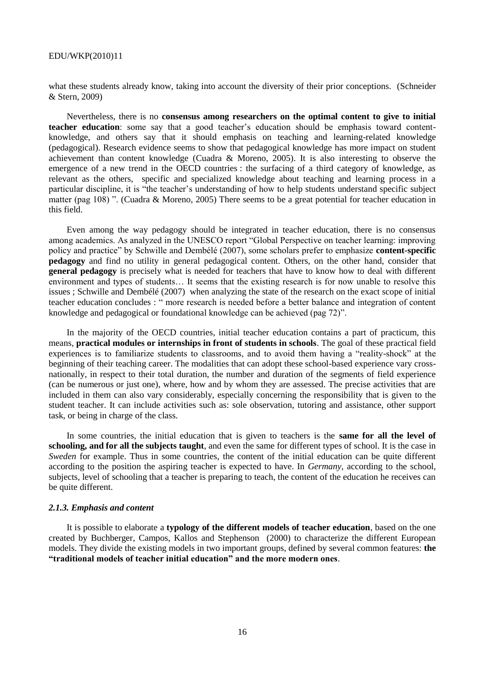what these students already know, taking into account the diversity of their prior conceptions. (Schneider & Stern, 2009)

Nevertheless, there is no **consensus among researchers on the optimal content to give to initial teacher education**: some say that a good teacher's education should be emphasis toward contentknowledge, and others say that it should emphasis on teaching and learning-related knowledge (pedagogical). Research evidence seems to show that pedagogical knowledge has more impact on student achievement than content knowledge (Cuadra & Moreno, 2005). It is also interesting to observe the emergence of a new trend in the OECD countries : the surfacing of a third category of knowledge, as relevant as the others, specific and specialized knowledge about teaching and learning process in a particular discipline, it is "the teacher's understanding of how to help students understand specific subject matter (pag 108) ". (Cuadra & Moreno, 2005) There seems to be a great potential for teacher education in this field.

Even among the way pedagogy should be integrated in teacher education, there is no consensus among academics. As analyzed in the UNESCO report "Global Perspective on teacher learning: improving policy and practice" by Schwille and Dembélé (2007), some scholars prefer to emphasize **content-specific pedagogy** and find no utility in general pedagogical content. Others, on the other hand, consider that **general pedagogy** is precisely what is needed for teachers that have to know how to deal with different environment and types of students… It seems that the existing research is for now unable to resolve this issues ; Schwille and Dembélé (2007) when analyzing the state of the research on the exact scope of initial teacher education concludes : " more research is needed before a better balance and integration of content knowledge and pedagogical or foundational knowledge can be achieved (pag 72)".

In the majority of the OECD countries, initial teacher education contains a part of practicum, this means, **practical modules or internships in front of students in schools**. The goal of these practical field experiences is to familiarize students to classrooms, and to avoid them having a "reality-shock" at the beginning of their teaching career. The modalities that can adopt these school-based experience vary crossnationally, in respect to their total duration, the number and duration of the segments of field experience (can be numerous or just one), where, how and by whom they are assessed. The precise activities that are included in them can also vary considerably, especially concerning the responsibility that is given to the student teacher. It can include activities such as: sole observation, tutoring and assistance, other support task, or being in charge of the class.

In some countries, the initial education that is given to teachers is the **same for all the level of schooling, and for all the subjects taught**, and even the same for different types of school. It is the case in *Sweden* for example. Thus in some countries, the content of the initial education can be quite different according to the position the aspiring teacher is expected to have. In *Germany*, according to the school, subjects, level of schooling that a teacher is preparing to teach, the content of the education he receives can be quite different.

### *2.1.3. Emphasis and content*

It is possible to elaborate a **typology of the different models of teacher education**, based on the one created by Buchberger, Campos, Kallos and Stephenson (2000) to characterize the different European models. They divide the existing models in two important groups, defined by several common features: **the "traditional models of teacher initial education" and the more modern ones**.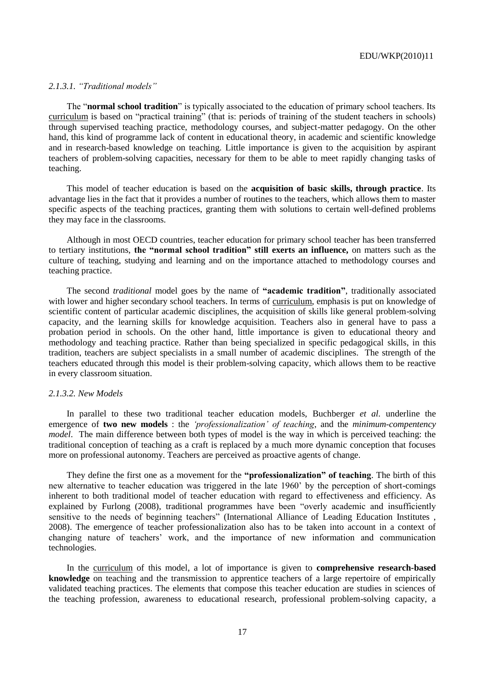### *2.1.3.1. "Traditional models"*

The "**normal school tradition**" is typically associated to the education of primary school teachers. Its curriculum is based on "practical training" (that is: periods of training of the student teachers in schools) through supervised teaching practice, methodology courses, and subject-matter pedagogy. On the other hand, this kind of programme lack of content in educational theory, in academic and scientific knowledge and in research-based knowledge on teaching. Little importance is given to the acquisition by aspirant teachers of problem-solving capacities, necessary for them to be able to meet rapidly changing tasks of teaching.

This model of teacher education is based on the **acquisition of basic skills, through practice**. Its advantage lies in the fact that it provides a number of routines to the teachers, which allows them to master specific aspects of the teaching practices, granting them with solutions to certain well-defined problems they may face in the classrooms.

Although in most OECD countries, teacher education for primary school teacher has been transferred to tertiary institutions, **the "normal school tradition" still exerts an influence,** on matters such as the culture of teaching, studying and learning and on the importance attached to methodology courses and teaching practice.

The second *traditional* model goes by the name of **"academic tradition"**, traditionally associated with lower and higher secondary school teachers. In terms of curriculum, emphasis is put on knowledge of scientific content of particular academic disciplines, the acquisition of skills like general problem-solving capacity, and the learning skills for knowledge acquisition. Teachers also in general have to pass a probation period in schools. On the other hand, little importance is given to educational theory and methodology and teaching practice. Rather than being specialized in specific pedagogical skills, in this tradition, teachers are subject specialists in a small number of academic disciplines. The strength of the teachers educated through this model is their problem-solving capacity, which allows them to be reactive in every classroom situation.

#### *2.1.3.2. New Models*

In parallel to these two traditional teacher education models, Buchberger *et al.* underline the emergence of **two new models** : the *"professionalization" of teaching*, and the *minimum-compentency model*. The main difference between both types of model is the way in which is perceived teaching: the traditional conception of teaching as a craft is replaced by a much more dynamic conception that focuses more on professional autonomy. Teachers are perceived as proactive agents of change.

They define the first one as a movement for the **"professionalization" of teaching**. The birth of this new alternative to teacher education was triggered in the late 1960' by the perception of short-comings inherent to both traditional model of teacher education with regard to effectiveness and efficiency. As explained by Furlong (2008), traditional programmes have been "overly academic and insufficiently sensitive to the needs of beginning teachers" (International Alliance of Leading Education Institutes, 2008). The emergence of teacher professionalization also has to be taken into account in a context of changing nature of teachers' work, and the importance of new information and communication technologies.

In the curriculum of this model, a lot of importance is given to **comprehensive research-based knowledge** on teaching and the transmission to apprentice teachers of a large repertoire of empirically validated teaching practices. The elements that compose this teacher education are studies in sciences of the teaching profession, awareness to educational research, professional problem-solving capacity, a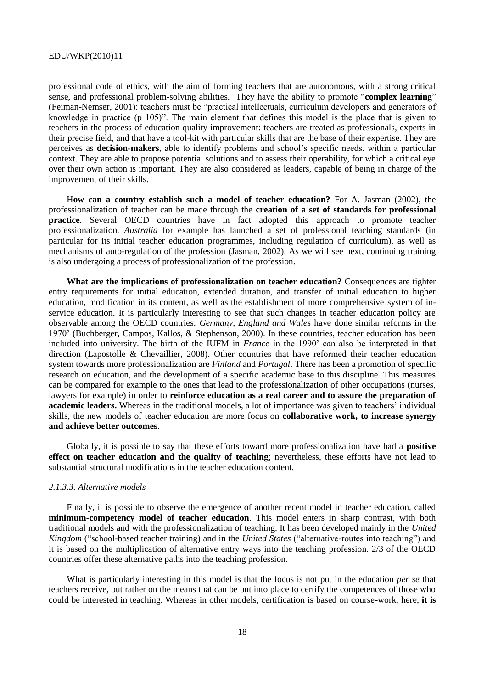professional code of ethics, with the aim of forming teachers that are autonomous, with a strong critical sense, and professional problem-solving abilities. They have the ability to promote "**complex learning**" (Feiman-Nemser, 2001): teachers must be "practical intellectuals, curriculum developers and generators of knowledge in practice (p 105)". The main element that defines this model is the place that is given to teachers in the process of education quality improvement: teachers are treated as professionals, experts in their precise field, and that have a tool-kit with particular skills that are the base of their expertise. They are perceives as **decision-makers**, able to identify problems and school's specific needs, within a particular context. They are able to propose potential solutions and to assess their operability, for which a critical eye over their own action is important. They are also considered as leaders, capable of being in charge of the improvement of their skills.

H**ow can a country establish such a model of teacher education?** For A. Jasman (2002), the professionalization of teacher can be made through the **creation of a set of standards for professional practice**. Several OECD countries have in fact adopted this approach to promote teacher professionalization. *Australia* for example has launched a set of professional teaching standards (in particular for its initial teacher education programmes, including regulation of curriculum), as well as mechanisms of auto-regulation of the profession (Jasman, 2002). As we will see next, continuing training is also undergoing a process of professionalization of the profession.

**What are the implications of professionalization on teacher education?** Consequences are tighter entry requirements for initial education, extended duration, and transfer of initial education to higher education, modification in its content, as well as the establishment of more comprehensive system of inservice education. It is particularly interesting to see that such changes in teacher education policy are observable among the OECD countries: *Germany, England and Wales* have done similar reforms in the 1970' (Buchberger, Campos, Kallos, & Stephenson, 2000). In these countries, teacher education has been included into university. The birth of the IUFM in *France* in the 1990' can also be interpreted in that direction (Lapostolle & Chevaillier, 2008). Other countries that have reformed their teacher education system towards more professionalization are *Finland* and *Portugal*. There has been a promotion of specific research on education, and the development of a specific academic base to this discipline. This measures can be compared for example to the ones that lead to the professionalization of other occupations (nurses, lawyers for example) in order to **reinforce education as a real career and to assure the preparation of academic leaders.** Whereas in the traditional models, a lot of importance was given to teachers' individual skills, the new models of teacher education are more focus on **collaborative work, to increase synergy and achieve better outcomes**.

Globally, it is possible to say that these efforts toward more professionalization have had a **positive effect on teacher education and the quality of teaching**; nevertheless, these efforts have not lead to substantial structural modifications in the teacher education content.

### *2.1.3.3. Alternative models*

Finally, it is possible to observe the emergence of another recent model in teacher education, called **minimum-competency model of teacher education**. This model enters in sharp contrast, with both traditional models and with the professionalization of teaching. It has been developed mainly in the *United Kingdom* ("school-based teacher training) and in the *United States* ("alternative-routes into teaching") and it is based on the multiplication of alternative entry ways into the teaching profession. 2/3 of the OECD countries offer these alternative paths into the teaching profession.

What is particularly interesting in this model is that the focus is not put in the education *per se* that teachers receive, but rather on the means that can be put into place to certify the competences of those who could be interested in teaching. Whereas in other models, certification is based on course-work, here, **it is**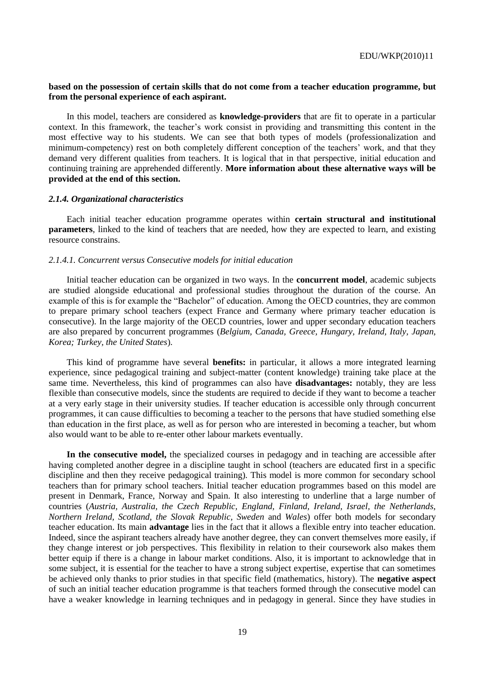### **based on the possession of certain skills that do not come from a teacher education programme, but from the personal experience of each aspirant.**

In this model, teachers are considered as **knowledge-providers** that are fit to operate in a particular context. In this framework, the teacher's work consist in providing and transmitting this content in the most effective way to his students. We can see that both types of models (professionalization and minimum-competency) rest on both completely different conception of the teachers' work, and that they demand very different qualities from teachers. It is logical that in that perspective, initial education and continuing training are apprehended differently. **More information about these alternative ways will be provided at the end of this section.**

#### *2.1.4. Organizational characteristics*

Each initial teacher education programme operates within **certain structural and institutional parameters**, linked to the kind of teachers that are needed, how they are expected to learn, and existing resource constrains.

### *2.1.4.1. Concurrent versus Consecutive models for initial education*

Initial teacher education can be organized in two ways. In the **concurrent model**, academic subjects are studied alongside educational and professional studies throughout the duration of the course. An example of this is for example the "Bachelor" of education. Among the OECD countries, they are common to prepare primary school teachers (expect France and Germany where primary teacher education is consecutive). In the large majority of the OECD countries, lower and upper secondary education teachers are also prepared by concurrent programmes (*Belgium, Canada, Greece, Hungary, Ireland, Italy, Japan, Korea; Turkey, the United States*).

This kind of programme have several **benefits:** in particular, it allows a more integrated learning experience, since pedagogical training and subject-matter (content knowledge) training take place at the same time. Nevertheless, this kind of programmes can also have **disadvantages:** notably, they are less flexible than consecutive models, since the students are required to decide if they want to become a teacher at a very early stage in their university studies. If teacher education is accessible only through concurrent programmes, it can cause difficulties to becoming a teacher to the persons that have studied something else than education in the first place, as well as for person who are interested in becoming a teacher, but whom also would want to be able to re-enter other labour markets eventually.

**In the consecutive model,** the specialized courses in pedagogy and in teaching are accessible after having completed another degree in a discipline taught in school (teachers are educated first in a specific discipline and then they receive pedagogical training). This model is more common for secondary school teachers than for primary school teachers. Initial teacher education programmes based on this model are present in Denmark, France, Norway and Spain. It also interesting to underline that a large number of countries (*Austria, Australia, the Czech Republic, England, Finland, Ireland, Israel, the Netherlands, Northern Ireland, Scotland, the Slovak Republic, Sweden* and *Wales*) offer both models for secondary teacher education. Its main **advantage** lies in the fact that it allows a flexible entry into teacher education. Indeed, since the aspirant teachers already have another degree, they can convert themselves more easily, if they change interest or job perspectives. This flexibility in relation to their coursework also makes them better equip if there is a change in labour market conditions. Also, it is important to acknowledge that in some subject, it is essential for the teacher to have a strong subject expertise, expertise that can sometimes be achieved only thanks to prior studies in that specific field (mathematics, history). The **negative aspect** of such an initial teacher education programme is that teachers formed through the consecutive model can have a weaker knowledge in learning techniques and in pedagogy in general. Since they have studies in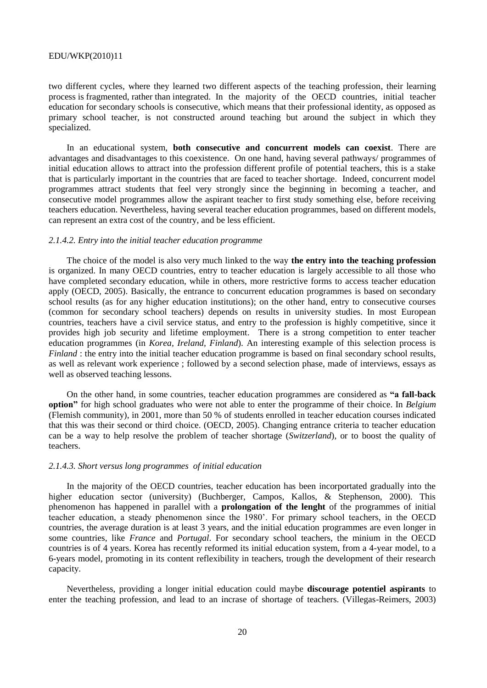two different cycles, where they learned two different aspects of the teaching profession, their learning process is fragmented, rather than integrated. In the majority of the OECD countries, initial teacher education for secondary schools is consecutive, which means that their professional identity, as opposed as primary school teacher, is not constructed around teaching but around the subject in which they specialized.

In an educational system, **both consecutive and concurrent models can coexist**. There are advantages and disadvantages to this coexistence. On one hand, having several pathways/ programmes of initial education allows to attract into the profession different profile of potential teachers, this is a stake that is particularly important in the countries that are faced to teacher shortage. Indeed, concurrent model programmes attract students that feel very strongly since the beginning in becoming a teacher, and consecutive model programmes allow the aspirant teacher to first study something else, before receiving teachers education. Nevertheless, having several teacher education programmes, based on different models, can represent an extra cost of the country, and be less efficient.

### *2.1.4.2. Entry into the initial teacher education programme*

The choice of the model is also very much linked to the way **the entry into the teaching profession** is organized. In many OECD countries, entry to teacher education is largely accessible to all those who have completed secondary education, while in others, more restrictive forms to access teacher education apply (OECD, 2005). Basically, the entrance to concurrent education programmes is based on secondary school results (as for any higher education institutions); on the other hand, entry to consecutive courses (common for secondary school teachers) depends on results in university studies. In most European countries, teachers have a civil service status, and entry to the profession is highly competitive, since it provides high job security and lifetime employment. There is a strong competition to enter teacher education programmes (in *Korea, Ireland, Finland*). An interesting example of this selection process is *Finland* : the entry into the initial teacher education programme is based on final secondary school results, as well as relevant work experience ; followed by a second selection phase, made of interviews, essays as well as observed teaching lessons.

On the other hand, in some countries, teacher education programmes are considered as **"a fall-back option"** for high school graduates who were not able to enter the programme of their choice. In *Belgium*  (Flemish community), in 2001, more than 50 % of students enrolled in teacher education courses indicated that this was their second or third choice. (OECD, 2005). Changing entrance criteria to teacher education can be a way to help resolve the problem of teacher shortage (*Switzerland*), or to boost the quality of teachers.

### *2.1.4.3. Short versus long programmes of initial education*

In the majority of the OECD countries, teacher education has been incorportated gradually into the higher education sector (university) (Buchberger, Campos, Kallos, & Stephenson, 2000). This phenomenon has happened in parallel with a **prolongation of the lenght** of the programmes of initial teacher education, a steady phenomenon since the 1980'. For primary school teachers, in the OECD countries, the average duration is at least 3 years, and the initial education programmes are even longer in some countries, like *France* and *Portugal*. For secondary school teachers, the minium in the OECD countries is of 4 years. Korea has recently reformed its initial education system, from a 4-year model, to a 6-years model, promoting in its content reflexibility in teachers, trough the development of their research capacity.

Nevertheless, providing a longer initial education could maybe **discourage potentiel aspirants** to enter the teaching profession, and lead to an incrase of shortage of teachers. (Villegas-Reimers, 2003)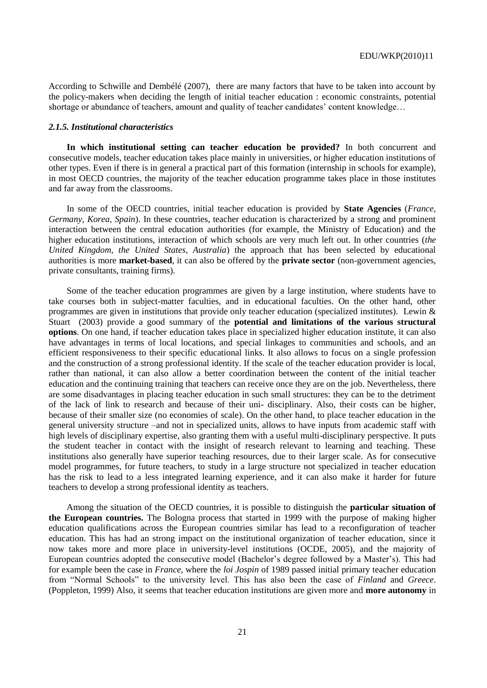According to Schwille and Dembélé (2007), there are many factors that have to be taken into account by the policy-makers when deciding the length of initial teacher education : economic constraints, potential shortage or abundance of teachers, amount and quality of teacher candidates' content knowledge...

#### *2.1.5. Institutional characteristics*

**In which institutional setting can teacher education be provided?** In both concurrent and consecutive models, teacher education takes place mainly in universities, or higher education institutions of other types. Even if there is in general a practical part of this formation (internship in schools for example), in most OECD countries, the majority of the teacher education programme takes place in those institutes and far away from the classrooms.

In some of the OECD countries, initial teacher education is provided by **State Agencies** (*France, Germany, Korea, Spain*). In these countries, teacher education is characterized by a strong and prominent interaction between the central education authorities (for example, the Ministry of Education) and the higher education institutions, interaction of which schools are very much left out. In other countries (*the United Kingdom, the United States, Australia*) the approach that has been selected by educational authorities is more **market-based**, it can also be offered by the **private sector** (non-government agencies, private consultants, training firms).

Some of the teacher education programmes are given by a large institution, where students have to take courses both in subject-matter faculties, and in educational faculties. On the other hand, other programmes are given in institutions that provide only teacher education (specialized institutes). Lewin & Stuart (2003) provide a good summary of the **potential and limitations of the various structural options**. On one hand, if teacher education takes place in specialized higher education institute, it can also have advantages in terms of local locations, and special linkages to communities and schools, and an efficient responsiveness to their specific educational links. It also allows to focus on a single profession and the construction of a strong professional identity. If the scale of the teacher education provider is local, rather than national, it can also allow a better coordination between the content of the initial teacher education and the continuing training that teachers can receive once they are on the job. Nevertheless, there are some disadvantages in placing teacher education in such small structures: they can be to the detriment of the lack of link to research and because of their uni- disciplinary. Also, their costs can be higher, because of their smaller size (no economies of scale). On the other hand, to place teacher education in the general university structure –and not in specialized units, allows to have inputs from academic staff with high levels of disciplinary expertise, also granting them with a useful multi-disciplinary perspective. It puts the student teacher in contact with the insight of research relevant to learning and teaching. These institutions also generally have superior teaching resources, due to their larger scale. As for consecutive model programmes, for future teachers, to study in a large structure not specialized in teacher education has the risk to lead to a less integrated learning experience, and it can also make it harder for future teachers to develop a strong professional identity as teachers.

Among the situation of the OECD countries, it is possible to distinguish the **particular situation of the European countries.** The Bologna process that started in 1999 with the purpose of making higher education qualifications across the European countries similar has lead to a reconfiguration of teacher education. This has had an strong impact on the institutional organization of teacher education, since it now takes more and more place in university-level institutions (OCDE, 2005), and the majority of European countries adopted the consecutive model (Bachelor's degree followed by a Master's). This had for example been the case in *France*, where the *loi Jospin* of 1989 passed initial primary teacher education from "Normal Schools" to the university level. This has also been the case of *Finland* and *Greece*. (Poppleton, 1999) Also, it seems that teacher education institutions are given more and **more autonomy** in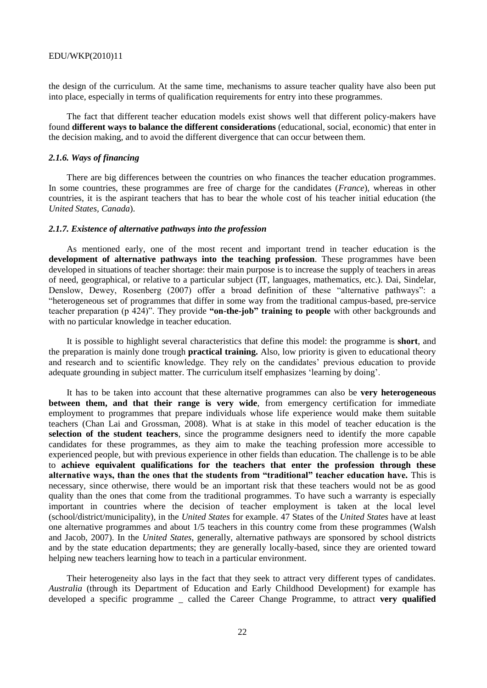the design of the curriculum. At the same time, mechanisms to assure teacher quality have also been put into place, especially in terms of qualification requirements for entry into these programmes.

The fact that different teacher education models exist shows well that different policy-makers have found **different ways to balance the different considerations** (educational, social, economic) that enter in the decision making, and to avoid the different divergence that can occur between them.

### *2.1.6. Ways of financing*

There are big differences between the countries on who finances the teacher education programmes. In some countries, these programmes are free of charge for the candidates (*France*), whereas in other countries, it is the aspirant teachers that has to bear the whole cost of his teacher initial education (the *United States, Canada*).

#### *2.1.7. Existence of alternative pathways into the profession*

As mentioned early, one of the most recent and important trend in teacher education is the **development of alternative pathways into the teaching profession**. These programmes have been developed in situations of teacher shortage: their main purpose is to increase the supply of teachers in areas of need, geographical, or relative to a particular subject (IT, languages, mathematics, etc.). Dai, Sindelar, Denslow, Dewey, Rosenberg (2007) offer a broad definition of these "alternative pathways": a ―heterogeneous set of programmes that differ in some way from the traditional campus-based, pre-service teacher preparation (p 424)". They provide "**on-the-job" training to people** with other backgrounds and with no particular knowledge in teacher education.

It is possible to highlight several characteristics that define this model: the programme is **short**, and the preparation is mainly done trough **practical training.** Also, low priority is given to educational theory and research and to scientific knowledge. They rely on the candidates' previous education to provide adequate grounding in subject matter. The curriculum itself emphasizes ‗learning by doing'.

It has to be taken into account that these alternative programmes can also be **very heterogeneous between them, and that their range is very wide**, from emergency certification for immediate employment to programmes that prepare individuals whose life experience would make them suitable teachers (Chan Lai and Grossman, 2008). What is at stake in this model of teacher education is the **selection of the student teachers**, since the programme designers need to identify the more capable candidates for these programmes, as they aim to make the teaching profession more accessible to experienced people, but with previous experience in other fields than education. The challenge is to be able to **achieve equivalent qualifications for the teachers that enter the profession through these alternative ways, than the ones that the students from "traditional" teacher education have.** This is necessary, since otherwise, there would be an important risk that these teachers would not be as good quality than the ones that come from the traditional programmes. To have such a warranty is especially important in countries where the decision of teacher employment is taken at the local level (school/district/municipality), in the *United States* for example. 47 States of the *United States* have at least one alternative programmes and about 1/5 teachers in this country come from these programmes (Walsh and Jacob, 2007). In the *United States*, generally, alternative pathways are sponsored by school districts and by the state education departments; they are generally locally-based, since they are oriented toward helping new teachers learning how to teach in a particular environment.

Their heterogeneity also lays in the fact that they seek to attract very different types of candidates. *Australia* (through its Department of Education and Early Childhood Development) for example has developed a specific programme \_ called the Career Change Programme, to attract **very qualified**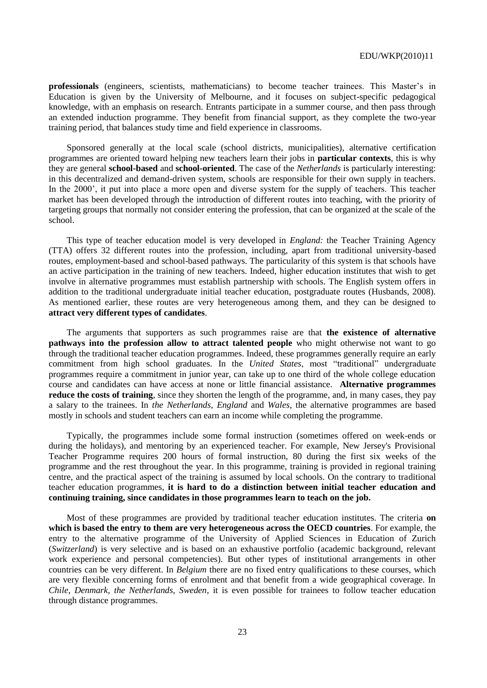**professionals** (engineers, scientists, mathematicians) to become teacher trainees. This Master's in Education is given by the University of Melbourne, and it focuses on subject-specific pedagogical knowledge, with an emphasis on research. Entrants participate in a summer course, and then pass through an extended induction programme. They benefit from financial support, as they complete the two-year training period, that balances study time and field experience in classrooms.

Sponsored generally at the local scale (school districts, municipalities), alternative certification programmes are oriented toward helping new teachers learn their jobs in **particular contexts**, this is why they are general **school-based** and **school-oriented**. The case of the *Netherlands* is particularly interesting: in this decentralized and demand-driven system, schools are responsible for their own supply in teachers. In the 2000', it put into place a more open and diverse system for the supply of teachers. This teacher market has been developed through the introduction of different routes into teaching, with the priority of targeting groups that normally not consider entering the profession, that can be organized at the scale of the school.

This type of teacher education model is very developed in *England:* the Teacher Training Agency (TTA) offers 32 different routes into the profession, including, apart from traditional university-based routes, employment-based and school-based pathways. The particularity of this system is that schools have an active participation in the training of new teachers. Indeed, higher education institutes that wish to get involve in alternative programmes must establish partnership with schools. The English system offers in addition to the traditional undergraduate initial teacher education, postgraduate routes (Husbands, 2008). As mentioned earlier, these routes are very heterogeneous among them, and they can be designed to **attract very different types of candidates**.

The arguments that supporters as such programmes raise are that **the existence of alternative pathways into the profession allow to attract talented people** who might otherwise not want to go through the traditional teacher education programmes. Indeed, these programmes generally require an early commitment from high school graduates. In the *United States*, most "traditional" undergraduate programmes require a commitment in junior year, can take up to one third of the whole college education course and candidates can have access at none or little financial assistance. **Alternative programmes reduce the costs of training**, since they shorten the length of the programme, and, in many cases, they pay a salary to the trainees. In *the Netherlands*, *England* and *Wales*, the alternative programmes are based mostly in schools and student teachers can earn an income while completing the programme.

Typically, the programmes include some formal instruction (sometimes offered on week-ends or during the holidays), and mentoring by an experienced teacher. For example, New Jersey's Provisional Teacher Programme requires 200 hours of formal instruction, 80 during the first six weeks of the programme and the rest throughout the year. In this programme, training is provided in regional training centre, and the practical aspect of the training is assumed by local schools. On the contrary to traditional teacher education programmes, **it is hard to do a distinction between initial teacher education and continuing training, since candidates in those programmes learn to teach on the job.**

Most of these programmes are provided by traditional teacher education institutes. The criteria **on which is based the entry to them are very heterogeneous across the OECD countries**. For example, the entry to the alternative programme of the University of Applied Sciences in Education of Zurich (*Switzerland*) is very selective and is based on an exhaustive portfolio (academic background, relevant work experience and personal competencies). But other types of institutional arrangements in other countries can be very different. In *Belgium* there are no fixed entry qualifications to these courses, which are very flexible concerning forms of enrolment and that benefit from a wide geographical coverage. In *Chile*, *Denmark, the Netherlands, Sweden*, it is even possible for trainees to follow teacher education through distance programmes.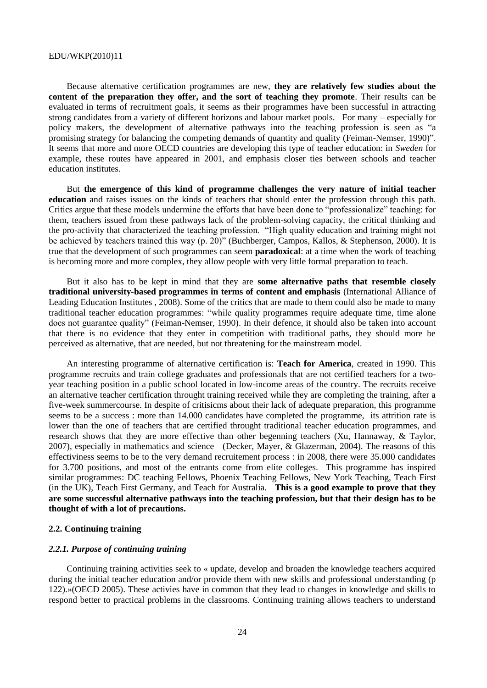Because alternative certification programmes are new, **they are relatively few studies about the content of the preparation they offer, and the sort of teaching they promote**. Their results can be evaluated in terms of recruitment goals, it seems as their programmes have been successful in attracting strong candidates from a variety of different horizons and labour market pools. For many – especially for policy makers, the development of alternative pathways into the teaching profession is seen as "a promising strategy for balancing the competing demands of quantity and quality (Feiman-Nemser, 1990)". It seems that more and more OECD countries are developing this type of teacher education: in *Sweden* for example, these routes have appeared in 2001, and emphasis closer ties between schools and teacher education institutes.

But **the emergence of this kind of programme challenges the very nature of initial teacher education** and raises issues on the kinds of teachers that should enter the profession through this path. Critics argue that these models undermine the efforts that have been done to "professionalize" teaching: for them, teachers issued from these pathways lack of the problem-solving capacity, the critical thinking and the pro-activity that characterized the teaching profession. "High quality education and training might not be achieved by teachers trained this way (p. 20)" (Buchberger, Campos, Kallos, & Stephenson, 2000). It is true that the development of such programmes can seem **paradoxical**: at a time when the work of teaching is becoming more and more complex, they allow people with very little formal preparation to teach.

But it also has to be kept in mind that they are **some alternative paths that resemble closely traditional university-based programmes in terms of content and emphasis** (International Alliance of Leading Education Institutes , 2008). Some of the critics that are made to them could also be made to many traditional teacher education programmes: "while quality programmes require adequate time, time alone does not guarantee quality" (Feiman-Nemser, 1990). In their defence, it should also be taken into account that there is no evidence that they enter in competition with traditional paths, they should more be perceived as alternative, that are needed, but not threatening for the mainstream model.

An interesting programme of alternative certification is: **Teach for America**, created in 1990. This programme recruits and train college graduates and professionals that are not certified teachers for a twoyear teaching position in a public school located in low-income areas of the country. The recruits receive an alternative teacher certification throught training received while they are completing the training, after a five-week summercourse. In despite of critisicms about their lack of adequate preparation, this programme seems to be a success : more than 14.000 candidates have completed the programme, its attrition rate is lower than the one of teachers that are certified throught traditional teacher education programmes, and research shows that they are more effective than other begenning teachers (Xu, Hannaway, & Taylor, 2007), especially in mathematics and science (Decker, Mayer, & Glazerman, 2004). The reasons of this effectiviness seems to be to the very demand recruitement process : in 2008, there were 35.000 candidates for 3.700 positions, and most of the entrants come from elite colleges. This programme has inspired similar programmes: DC teaching Fellows, Phoenix Teaching Fellows, New York Teaching, Teach First (in the UK), Teach First Germany, and Teach for Australia. **This is a good example to prove that they are some successful alternative pathways into the teaching profession, but that their design has to be thought of with a lot of precautions.** 

### **2.2. Continuing training**

### *2.2.1. Purpose of continuing training*

Continuing training activities seek to « update, develop and broaden the knowledge teachers acquired during the initial teacher education and/or provide them with new skills and professional understanding (p 122).»(OECD 2005). These activies have in common that they lead to changes in knowledge and skills to respond better to practical problems in the classrooms. Continuing training allows teachers to understand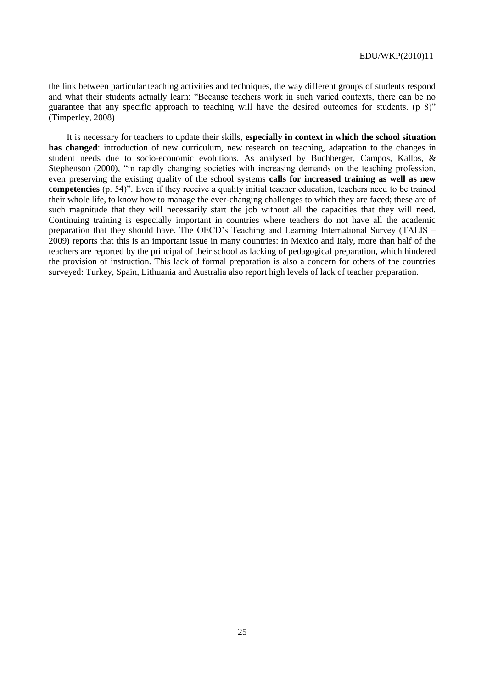the link between particular teaching activities and techniques, the way different groups of students respond and what their students actually learn: "Because teachers work in such varied contexts, there can be no guarantee that any specific approach to teaching will have the desired outcomes for students. (p  $8$ )" (Timperley, 2008)

It is necessary for teachers to update their skills, **especially in context in which the school situation has changed**: introduction of new curriculum, new research on teaching, adaptation to the changes in student needs due to socio-economic evolutions. As analysed by Buchberger, Campos, Kallos, & Stephenson (2000), "in rapidly changing societies with increasing demands on the teaching profession, even preserving the existing quality of the school systems **calls for increased training as well as new competencies** (p. 54)". Even if they receive a quality initial teacher education, teachers need to be trained their whole life, to know how to manage the ever-changing challenges to which they are faced; these are of such magnitude that they will necessarily start the job without all the capacities that they will need. Continuing training is especially important in countries where teachers do not have all the academic preparation that they should have. The OECD's Teaching and Learning International Survey (TALIS – 2009) reports that this is an important issue in many countries: in Mexico and Italy, more than half of the teachers are reported by the principal of their school as lacking of pedagogical preparation, which hindered the provision of instruction. This lack of formal preparation is also a concern for others of the countries surveyed: Turkey, Spain, Lithuania and Australia also report high levels of lack of teacher preparation.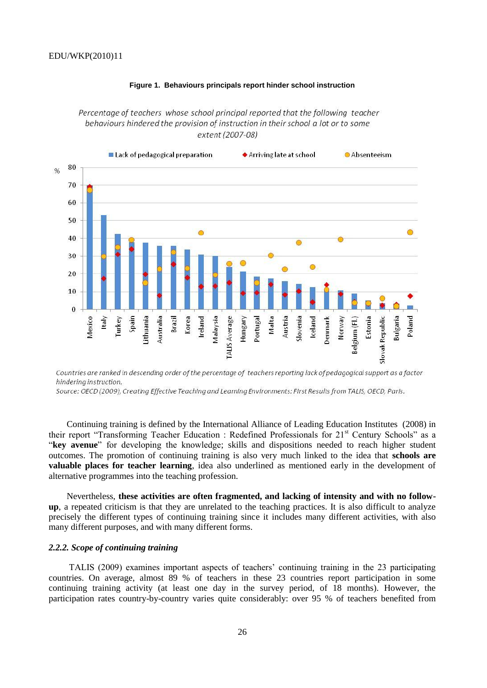

### **Figure 1. Behaviours principals report hinder school instruction**

Percentage of teachers whose school principal reported that the following teacher behaviours hindered the provision of instruction in their school a lot or to some extent (2007-08)

Countries are ranked in descending order of the percentage of teachers reporting lack of pedagogical support as a factor hindering instruction.

Source: OECD (2009), Creating Effective Teaching and Learning Environments: First Results from TALIS, OECD, Paris.

Continuing training is defined by the International Alliance of Leading Education Institutes (2008) in their report "Transforming Teacher Education : Redefined Professionals for 21<sup>st</sup> Century Schools" as a ―**key avenue**‖ for developing the knowledge; skills and dispositions needed to reach higher student outcomes. The promotion of continuing training is also very much linked to the idea that **schools are valuable places for teacher learning**, idea also underlined as mentioned early in the development of alternative programmes into the teaching profession.

Nevertheless, **these activities are often fragmented, and lacking of intensity and with no followup**, a repeated criticism is that they are unrelated to the teaching practices. It is also difficult to analyze precisely the different types of continuing training since it includes many different activities, with also many different purposes, and with many different forms.

### *2.2.2. Scope of continuing training*

TALIS (2009) examines important aspects of teachers' continuing training in the 23 participating countries. On average, almost 89 % of teachers in these 23 countries report participation in some continuing training activity (at least one day in the survey period, of 18 months). However, the participation rates country-by-country varies quite considerably: over 95 % of teachers benefited from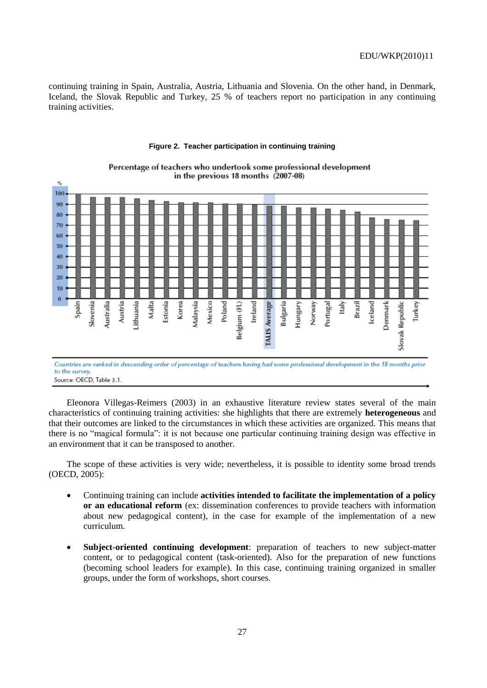continuing training in Spain, Australia, Austria, Lithuania and Slovenia. On the other hand, in Denmark, Iceland, the Slovak Republic and Turkey, 25 % of teachers report no participation in any continuing training activities.



#### **Figure 2. Teacher participation in continuing training**

Percentage of teachers who undertook some professional development in the previous 18 months (2007-08)

to the surver Source: OECD, Table 3.1.

Eleonora Villegas-Reimers (2003) in an exhaustive literature review states several of the main characteristics of continuing training activities: she highlights that there are extremely **heterogeneous** and that their outcomes are linked to the circumstances in which these activities are organized. This means that there is no "magical formula": it is not because one particular continuing training design was effective in an environment that it can be transposed to another.

The scope of these activities is very wide; nevertheless, it is possible to identity some broad trends (OECD, 2005):

- Continuing training can include **activities intended to facilitate the implementation of a policy or an educational reform** (ex: dissemination conferences to provide teachers with information about new pedagogical content), in the case for example of the implementation of a new curriculum.
- **Subject-oriented continuing development**: preparation of teachers to new subject-matter content, or to pedagogical content (task-oriented). Also for the preparation of new functions (becoming school leaders for example). In this case, continuing training organized in smaller groups, under the form of workshops, short courses.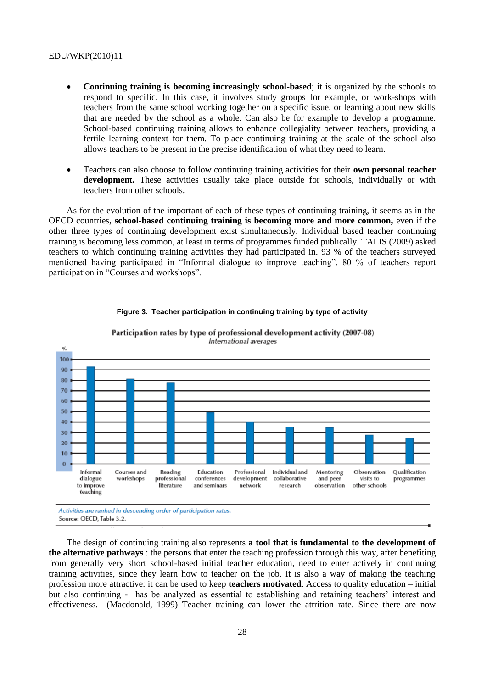- **Continuing training is becoming increasingly school-based**; it is organized by the schools to respond to specific. In this case, it involves study groups for example, or work-shops with teachers from the same school working together on a specific issue, or learning about new skills that are needed by the school as a whole. Can also be for example to develop a programme. School-based continuing training allows to enhance collegiality between teachers, providing a fertile learning context for them. To place continuing training at the scale of the school also allows teachers to be present in the precise identification of what they need to learn.
- Teachers can also choose to follow continuing training activities for their **own personal teacher development.** These activities usually take place outside for schools, individually or with teachers from other schools.

As for the evolution of the important of each of these types of continuing training, it seems as in the OECD countries, **school-based continuing training is becoming more and more common,** even if the other three types of continuing development exist simultaneously. Individual based teacher continuing training is becoming less common, at least in terms of programmes funded publically. TALIS (2009) asked teachers to which continuing training activities they had participated in. 93 % of the teachers surveyed mentioned having participated in "Informal dialogue to improve teaching". 80 % of teachers report participation in "Courses and workshops".



#### **Figure 3. Teacher participation in continuing training by type of activity**

Participation rates by type of professional development activity (2007-08) International averages

The design of continuing training also represents **a tool that is fundamental to the development of the alternative pathways** : the persons that enter the teaching profession through this way, after benefiting from generally very short school-based initial teacher education, need to enter actively in continuing training activities, since they learn how to teacher on the job. It is also a way of making the teaching profession more attractive: it can be used to keep **teachers motivated**. Access to quality education – initial but also continuing - has be analyzed as essential to establishing and retaining teachers' interest and effectiveness. (Macdonald, 1999) Teacher training can lower the attrition rate. Since there are now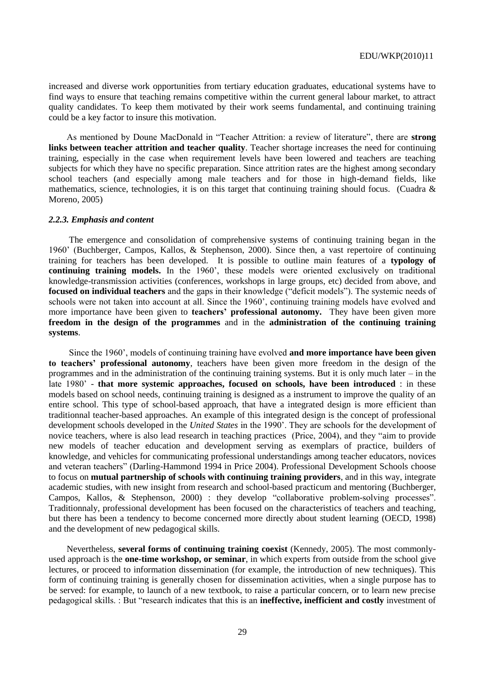increased and diverse work opportunities from tertiary education graduates, educational systems have to find ways to ensure that teaching remains competitive within the current general labour market, to attract quality candidates. To keep them motivated by their work seems fundamental, and continuing training could be a key factor to insure this motivation.

As mentioned by Doune MacDonald in "Teacher Attrition: a review of literature", there are strong **links between teacher attrition and teacher quality**. Teacher shortage increases the need for continuing training, especially in the case when requirement levels have been lowered and teachers are teaching subjects for which they have no specific preparation. Since attrition rates are the highest among secondary school teachers (and especially among male teachers and for those in high-demand fields, like mathematics, science, technologies, it is on this target that continuing training should focus. (Cuadra  $\&$ Moreno, 2005)

### *2.2.3. Emphasis and content*

The emergence and consolidation of comprehensive systems of continuing training began in the 1960' (Buchberger, Campos, Kallos, & Stephenson, 2000). Since then, a vast repertoire of continuing training for teachers has been developed. It is possible to outline main features of a **typology of continuing training models.** In the 1960', these models were oriented exclusively on traditional knowledge-transmission activities (conferences, workshops in large groups, etc) decided from above, and **focused on individual teachers** and the gaps in their knowledge ("deficit models"). The systemic needs of schools were not taken into account at all. Since the 1960', continuing training models have evolved and more importance have been given to **teachers" professional autonomy.** They have been given more **freedom in the design of the programmes** and in the **administration of the continuing training systems**.

Since the 1960', models of continuing training have evolved **and more importance have been given to teachers" professional autonomy**, teachers have been given more freedom in the design of the programmes and in the administration of the continuing training systems. But it is only much later – in the late 1980' - **that more systemic approaches, focused on schools, have been introduced** : in these models based on school needs, continuing training is designed as a instrument to improve the quality of an entire school. This type of school-based approach, that have a integrated design is more efficient than traditionnal teacher-based approaches. An example of this integrated design is the concept of professional development schools developed in the *United States* in the 1990'. They are schools for the development of novice teachers, where is also lead research in teaching practices (Price, 2004), and they "aim to provide new models of teacher education and development serving as exemplars of practice, builders of knowledge, and vehicles for communicating professional understandings among teacher educators, novices and veteran teachers" (Darling-Hammond 1994 in Price 2004). Professional Development Schools choose to focus on **mutual partnership of schools with continuing training providers**, and in this way, integrate academic studies, with new insight from research and school-based practicum and mentoring (Buchberger, Campos, Kallos, & Stephenson, 2000) : they develop "collaborative problem-solving processes". Traditionnaly, professional development has been focused on the characteristics of teachers and teaching, but there has been a tendency to become concerned more directly about student learning (OECD, 1998) and the development of new pedagogical skills.

Nevertheless, **several forms of continuing training coexist** (Kennedy, 2005). The most commonlyused approach is the **one-time workshop, or seminar**, in which experts from outside from the school give lectures, or proceed to information dissemination (for example, the introduction of new techniques). This form of continuing training is generally chosen for dissemination activities, when a single purpose has to be served: for example, to launch of a new textbook, to raise a particular concern, or to learn new precise pedagogical skills. : But ―research indicates that this is an **ineffective, inefficient and costly** investment of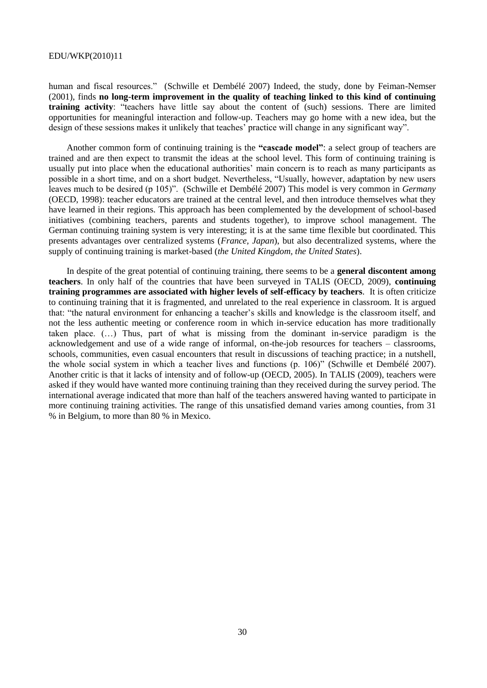human and fiscal resources." (Schwille et Dembélé 2007) Indeed, the study, done by Feiman-Nemser (2001), finds **no long-term improvement in the quality of teaching linked to this kind of continuing training activity**: "teachers have little say about the content of (such) sessions. There are limited opportunities for meaningful interaction and follow-up. Teachers may go home with a new idea, but the design of these sessions makes it unlikely that teaches' practice will change in any significant way".

Another common form of continuing training is the **"cascade model"**: a select group of teachers are trained and are then expect to transmit the ideas at the school level. This form of continuing training is usually put into place when the educational authorities' main concern is to reach as many participants as possible in a short time, and on a short budget. Nevertheless, "Usually, however, adaptation by new users leaves much to be desired (p 105)". (Schwille et Dembélé 2007) This model is very common in *Germany* (OECD, 1998): teacher educators are trained at the central level, and then introduce themselves what they have learned in their regions. This approach has been complemented by the development of school-based initiatives (combining teachers, parents and students together), to improve school management. The German continuing training system is very interesting; it is at the same time flexible but coordinated. This presents advantages over centralized systems (*France, Japan*), but also decentralized systems, where the supply of continuing training is market-based (*the United Kingdom, the United States*).

In despite of the great potential of continuing training, there seems to be a **general discontent among teachers**. In only half of the countries that have been surveyed in TALIS (OECD, 2009), **continuing training programmes are associated with higher levels of self-efficacy by teachers**. It is often criticize to continuing training that it is fragmented, and unrelated to the real experience in classroom. It is argued that: "the natural environment for enhancing a teacher's skills and knowledge is the classroom itself, and not the less authentic meeting or conference room in which in-service education has more traditionally taken place. (…) Thus, part of what is missing from the dominant in-service paradigm is the acknowledgement and use of a wide range of informal, on-the-job resources for teachers – classrooms, schools, communities, even casual encounters that result in discussions of teaching practice; in a nutshell, the whole social system in which a teacher lives and functions (p. 106)" (Schwille et Dembélé 2007). Another critic is that it lacks of intensity and of follow-up (OECD, 2005). In TALIS (2009), teachers were asked if they would have wanted more continuing training than they received during the survey period. The international average indicated that more than half of the teachers answered having wanted to participate in more continuing training activities. The range of this unsatisfied demand varies among counties, from 31 % in Belgium, to more than 80 % in Mexico.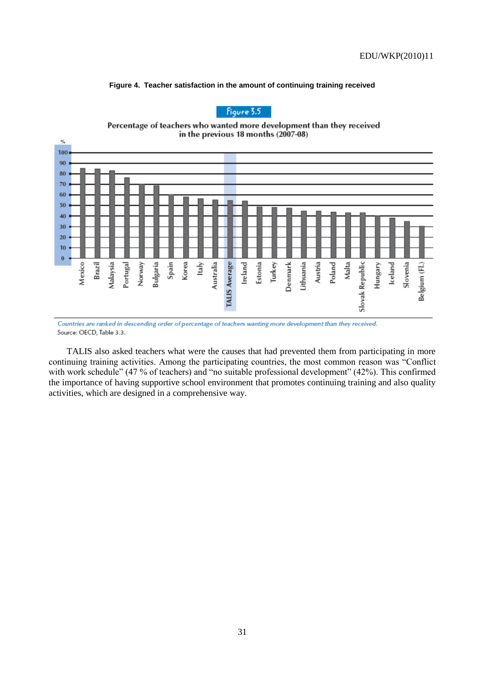



Figure 3.5

Countries are ranked in descending order of percentage of teachers wanting more development than they received. Source: OECD, Table 3.3.

TALIS also asked teachers what were the causes that had prevented them from participating in more continuing training activities. Among the participating countries, the most common reason was "Conflict" with work schedule" (47 % of teachers) and "no suitable professional development" (42%). This confirmed the importance of having supportive school environment that promotes continuing training and also quality activities, which are designed in a comprehensive way.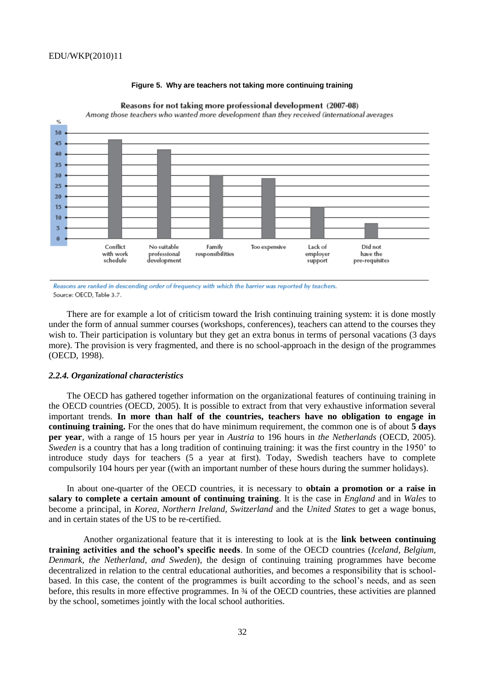

### **Figure 5. Why are teachers not taking more continuing training**

Reasons for not taking more professional development (2007-08) Among those teachers who wanted more development than they received (international averages

Reasons are ranked in descending order of frequency with which the barrier was reported by teachers. Source: OECD, Table 3.7.

There are for example a lot of criticism toward the Irish continuing training system: it is done mostly under the form of annual summer courses (workshops, conferences), teachers can attend to the courses they wish to. Their participation is voluntary but they get an extra bonus in terms of personal vacations (3 days more). The provision is very fragmented, and there is no school-approach in the design of the programmes (OECD, 1998).

#### *2.2.4. Organizational characteristics*

The OECD has gathered together information on the organizational features of continuing training in the OECD countries (OECD, 2005). It is possible to extract from that very exhaustive information several important trends. **In more than half of the countries, teachers have no obligation to engage in continuing training.** For the ones that do have minimum requirement, the common one is of about **5 days per year**, with a range of 15 hours per year in *Austria* to 196 hours in *the Netherlands* (OECD, 2005). *Sweden* is a country that has a long tradition of continuing training: it was the first country in the 1950' to introduce study days for teachers (5 a year at first). Today, Swedish teachers have to complete compulsorily 104 hours per year ((with an important number of these hours during the summer holidays).

In about one-quarter of the OECD countries, it is necessary to **obtain a promotion or a raise in salary to complete a certain amount of continuing training**. It is the case in *England* and in *Wales* to become a principal, in *Korea, Northern Ireland, Switzerland* and the *United States* to get a wage bonus, and in certain states of the US to be re-certified.

Another organizational feature that it is interesting to look at is the **link between continuing training activities and the school"s specific needs**. In some of the OECD countries (*Iceland, Belgium, Denmark, the Netherland, and Sweden*), the design of continuing training programmes have become decentralized in relation to the central educational authorities, and becomes a responsibility that is schoolbased. In this case, the content of the programmes is built according to the school's needs, and as seen before, this results in more effective programmes. In ¾ of the OECD countries, these activities are planned by the school, sometimes jointly with the local school authorities.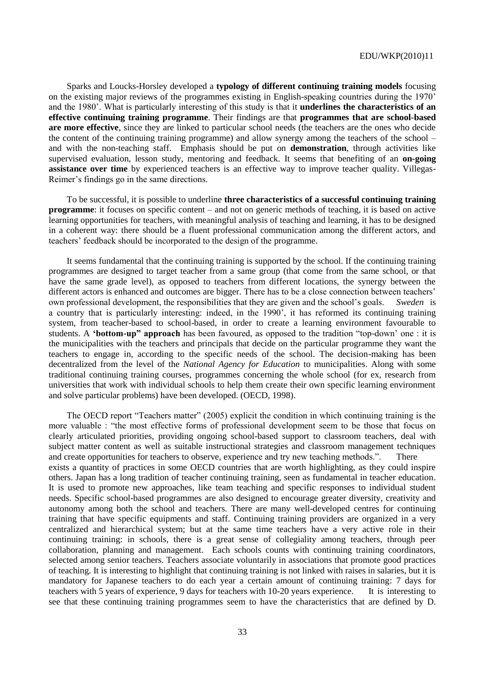Sparks and Loucks-Horsley developed a **typology of different continuing training models** focusing on the existing major reviews of the programmes existing in English-speaking countries during the 1970' and the 1980'. What is particularly interesting of this study is that it **underlines the characteristics of an effective continuing training programme**. Their findings are that **programmes that are school-based are more effective**, since they are linked to particular school needs (the teachers are the ones who decide the content of the continuing training programme) and allow synergy among the teachers of the school – and with the non-teaching staff. Emphasis should be put on **demonstration**, through activities like supervised evaluation, lesson study, mentoring and feedback. It seems that benefiting of an **on-going assistance over time** by experienced teachers is an effective way to improve teacher quality. Villegas-Reimer's findings go in the same directions.

To be successful, it is possible to underline **three characteristics of a successful continuing training programme**: it focuses on specific content – and not on generic methods of teaching, it is based on active learning opportunities for teachers, with meaningful analysis of teaching and learning, it has to be designed in a coherent way: there should be a fluent professional communication among the different actors, and teachers' feedback should be incorporated to the design of the programme.

It seems fundamental that the continuing training is supported by the school. If the continuing training programmes are designed to target teacher from a same group (that come from the same school, or that have the same grade level), as opposed to teachers from different locations, the synergy between the different actors is enhanced and outcomes are bigger. There has to be a close connection between teachers' own professional development, the responsibilities that they are given and the school's goals. *Sweden* is a country that is particularly interesting: indeed, in the 1990', it has reformed its continuing training system, from teacher-based to school-based, in order to create a learning environment favourable to students. A **'bottom-up" approach** has been favoured, as opposed to the tradition "top-down' one : it is the municipalities with the teachers and principals that decide on the particular programme they want the teachers to engage in, according to the specific needs of the school. The decision-making has been decentralized from the level of the *National Agency for Education* to municipalities. Along with some traditional continuing training courses, programmes concerning the whole school (for ex, research from universities that work with individual schools to help them create their own specific learning environment and solve particular problems) have been developed. (OECD, 1998).

The OECD report "Teachers matter" (2005) explicit the condition in which continuing training is the more valuable : "the most effective forms of professional development seem to be those that focus on clearly articulated priorities, providing ongoing school-based support to classroom teachers, deal with subject matter content as well as suitable instructional strategies and classroom management techniques and create opportunities for teachers to observe, experience and try new teaching methods.". There exists a quantity of practices in some OECD countries that are worth highlighting, as they could inspire others. Japan has a long tradition of teacher continuing training, seen as fundamental in teacher education. It is used to promote new approaches, like team teaching and specific responses to individual student needs. Specific school-based programmes are also designed to encourage greater diversity, creativity and autonomy among both the school and teachers. There are many well-developed centres for continuing training that have specific equipments and staff. Continuing training providers are organized in a very centralized and hierarchical system; but at the same time teachers have a very active role in their continuing training: in schools, there is a great sense of collegiality among teachers, through peer collaboration, planning and management. Each schools counts with continuing training coordinators, selected among senior teachers. Teachers associate voluntarily in associations that promote good practices of teaching. It is interesting to highlight that continuing training is not linked with raises in salaries, but it is mandatory for Japanese teachers to do each year a certain amount of continuing training: 7 days for teachers with 5 years of experience, 9 days for teachers with 10-20 years experience. It is interesting to see that these continuing training programmes seem to have the characteristics that are defined by D.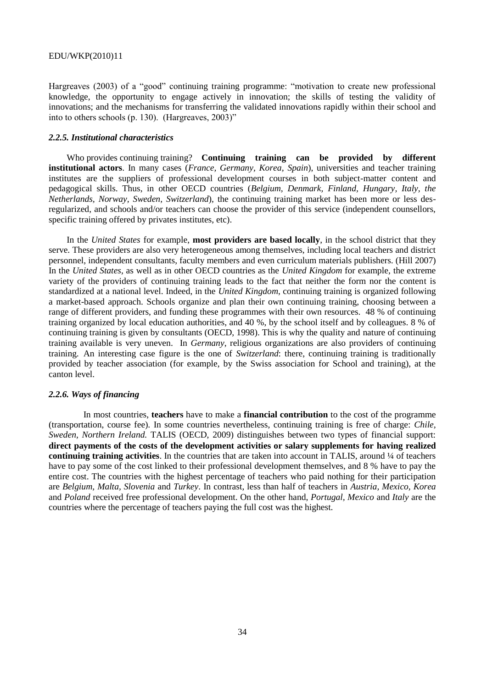Hargreaves (2003) of a "good" continuing training programme: "motivation to create new professional knowledge, the opportunity to engage actively in innovation; the skills of testing the validity of innovations; and the mechanisms for transferring the validated innovations rapidly within their school and into to others schools  $(p. 130)$ . (Hargreaves, 2003)"

### *2.2.5. Institutional characteristics*

Who provides continuing training? **Continuing training can be provided by different institutional actors**. In many cases (*France, Germany, Korea, Spain*), universities and teacher training institutes are the suppliers of professional development courses in both subject-matter content and pedagogical skills. Thus, in other OECD countries (*Belgium, Denmark, Finland, Hungary, Italy, the Netherlands, Norway, Sweden, Switzerland*), the continuing training market has been more or less desregularized, and schools and/or teachers can choose the provider of this service (independent counsellors, specific training offered by privates institutes, etc).

In the *United States* for example, **most providers are based locally**, in the school district that they serve. These providers are also very heterogeneous among themselves, including local teachers and district personnel, independent consultants, faculty members and even curriculum materials publishers. (Hill 2007) In the *United States*, as well as in other OECD countries as the *United Kingdom* for example, the extreme variety of the providers of continuing training leads to the fact that neither the form nor the content is standardized at a national level. Indeed, in the *United Kingdom*, continuing training is organized following a market-based approach. Schools organize and plan their own continuing training, choosing between a range of different providers, and funding these programmes with their own resources. 48 % of continuing training organized by local education authorities, and 40 %, by the school itself and by colleagues. 8 % of continuing training is given by consultants (OECD, 1998). This is why the quality and nature of continuing training available is very uneven. In *Germany*, religious organizations are also providers of continuing training. An interesting case figure is the one of *Switzerland*: there, continuing training is traditionally provided by teacher association (for example, by the Swiss association for School and training), at the canton level.

### *2.2.6. Ways of financing*

In most countries, **teachers** have to make a **financial contribution** to the cost of the programme (transportation, course fee). In some countries nevertheless, continuing training is free of charge: *Chile, Sweden, Northern Ireland.* TALIS (OECD, 2009) distinguishes between two types of financial support: **direct payments of the costs of the development activities or salary supplements for having realized continuing training activities**. In the countries that are taken into account in TALIS, around ¼ of teachers have to pay some of the cost linked to their professional development themselves, and 8 % have to pay the entire cost. The countries with the highest percentage of teachers who paid nothing for their participation are *Belgium, Malta, Slovenia* and *Turkey*. In contrast, less than half of teachers in *Austria, Mexico, Korea*  and *Poland* received free professional development. On the other hand, *Portugal, Mexico* and *Italy* are the countries where the percentage of teachers paying the full cost was the highest.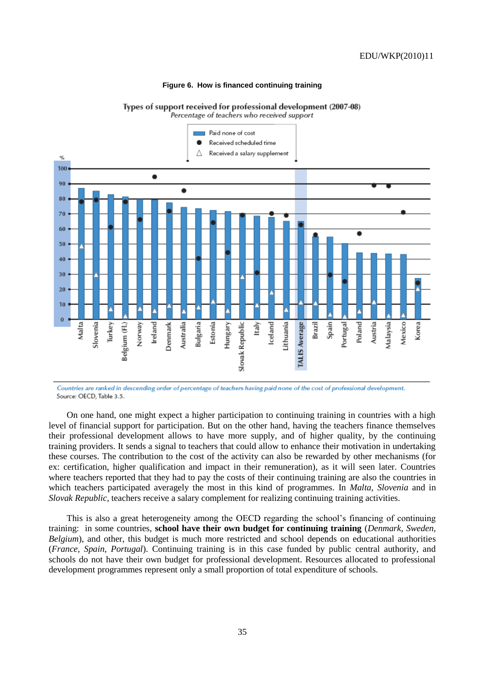### **Figure 6. How is financed continuing training**



Percentage of teachers who received support



Countries are ranked in descending order of percentage of teachers having paid none of the cost of professional development. Source: OECD, Table 3.5.

On one hand, one might expect a higher participation to continuing training in countries with a high level of financial support for participation. But on the other hand, having the teachers finance themselves their professional development allows to have more supply, and of higher quality, by the continuing training providers. It sends a signal to teachers that could allow to enhance their motivation in undertaking these courses. The contribution to the cost of the activity can also be rewarded by other mechanisms (for ex: certification, higher qualification and impact in their remuneration), as it will seen later. Countries where teachers reported that they had to pay the costs of their continuing training are also the countries in which teachers participated averagely the most in this kind of programmes. In *Malta, Slovenia* and in *Slovak Republic*, teachers receive a salary complement for realizing continuing training activities.

This is also a great heterogeneity among the OECD regarding the school's financing of continuing training: in some countries, **school have their own budget for continuing training** (*Denmark, Sweden, Belgium*), and other, this budget is much more restricted and school depends on educational authorities (*France, Spain, Portugal*). Continuing training is in this case funded by public central authority, and schools do not have their own budget for professional development. Resources allocated to professional development programmes represent only a small proportion of total expenditure of schools.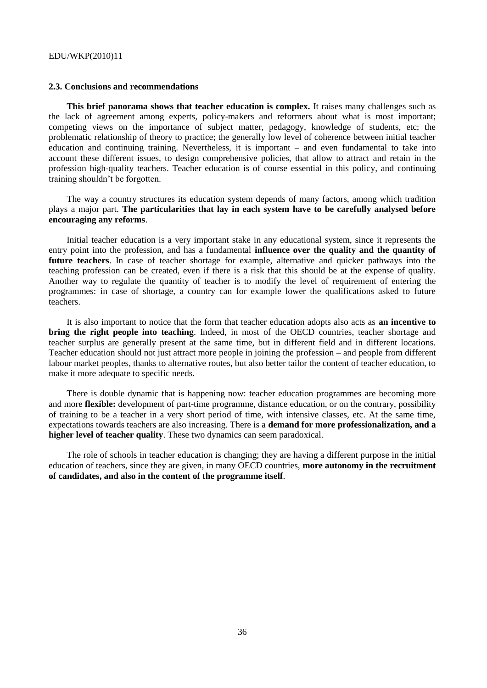#### **2.3. Conclusions and recommendations**

**This brief panorama shows that teacher education is complex.** It raises many challenges such as the lack of agreement among experts, policy-makers and reformers about what is most important; competing views on the importance of subject matter, pedagogy, knowledge of students, etc; the problematic relationship of theory to practice; the generally low level of coherence between initial teacher education and continuing training. Nevertheless, it is important – and even fundamental to take into account these different issues, to design comprehensive policies, that allow to attract and retain in the profession high-quality teachers. Teacher education is of course essential in this policy, and continuing training shouldn't be forgotten.

The way a country structures its education system depends of many factors, among which tradition plays a major part. **The particularities that lay in each system have to be carefully analysed before encouraging any reforms**.

Initial teacher education is a very important stake in any educational system, since it represents the entry point into the profession, and has a fundamental **influence over the quality and the quantity of future teachers**. In case of teacher shortage for example, alternative and quicker pathways into the teaching profession can be created, even if there is a risk that this should be at the expense of quality. Another way to regulate the quantity of teacher is to modify the level of requirement of entering the programmes: in case of shortage, a country can for example lower the qualifications asked to future teachers.

It is also important to notice that the form that teacher education adopts also acts as **an incentive to bring the right people into teaching**. Indeed, in most of the OECD countries, teacher shortage and teacher surplus are generally present at the same time, but in different field and in different locations. Teacher education should not just attract more people in joining the profession – and people from different labour market peoples, thanks to alternative routes, but also better tailor the content of teacher education, to make it more adequate to specific needs.

There is double dynamic that is happening now: teacher education programmes are becoming more and more **flexible:** development of part-time programme, distance education, or on the contrary, possibility of training to be a teacher in a very short period of time, with intensive classes, etc. At the same time, expectations towards teachers are also increasing. There is a **demand for more professionalization, and a higher level of teacher quality**. These two dynamics can seem paradoxical.

The role of schools in teacher education is changing; they are having a different purpose in the initial education of teachers, since they are given, in many OECD countries, **more autonomy in the recruitment of candidates, and also in the content of the programme itself**.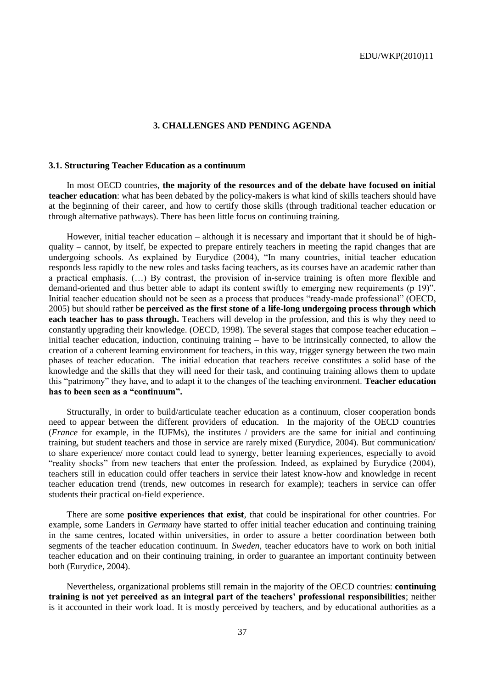### **3. CHALLENGES AND PENDING AGENDA**

### **3.1. Structuring Teacher Education as a continuum**

In most OECD countries, **the majority of the resources and of the debate have focused on initial teacher education**: what has been debated by the policy-makers is what kind of skills teachers should have at the beginning of their career, and how to certify those skills (through traditional teacher education or through alternative pathways). There has been little focus on continuing training.

However, initial teacher education – although it is necessary and important that it should be of highquality – cannot, by itself, be expected to prepare entirely teachers in meeting the rapid changes that are undergoing schools. As explained by Eurydice (2004), "In many countries, initial teacher education responds less rapidly to the new roles and tasks facing teachers, as its courses have an academic rather than a practical emphasis. (…) By contrast, the provision of in-service training is often more flexible and demand-oriented and thus better able to adapt its content swiftly to emerging new requirements (p 19)". Initial teacher education should not be seen as a process that produces "ready-made professional" (OECD, 2005) but should rather b**e perceived as the first stone of a life-long undergoing process through which each teacher has to pass through.** Teachers will develop in the profession, and this is why they need to constantly upgrading their knowledge. (OECD, 1998). The several stages that compose teacher education – initial teacher education, induction, continuing training – have to be intrinsically connected, to allow the creation of a coherent learning environment for teachers, in this way, trigger synergy between the two main phases of teacher education. The initial education that teachers receive constitutes a solid base of the knowledge and the skills that they will need for their task, and continuing training allows them to update this "patrimony" they have, and to adapt it to the changes of the teaching environment. **Teacher education has to been seen as a "continuum".** 

Structurally, in order to build/articulate teacher education as a continuum, closer cooperation bonds need to appear between the different providers of education. In the majority of the OECD countries (*France* for example, in the IUFMs), the institutes / providers are the same for initial and continuing training, but student teachers and those in service are rarely mixed (Eurydice, 2004). But communication/ to share experience/ more contact could lead to synergy, better learning experiences, especially to avoid ―reality shocks‖ from new teachers that enter the profession. Indeed, as explained by Eurydice (2004), teachers still in education could offer teachers in service their latest know-how and knowledge in recent teacher education trend (trends, new outcomes in research for example); teachers in service can offer students their practical on-field experience.

There are some **positive experiences that exist**, that could be inspirational for other countries. For example, some Landers in *Germany* have started to offer initial teacher education and continuing training in the same centres, located within universities, in order to assure a better coordination between both segments of the teacher education continuum. In *Sweden*, teacher educators have to work on both initial teacher education and on their continuing training, in order to guarantee an important continuity between both (Eurydice, 2004).

Nevertheless, organizational problems still remain in the majority of the OECD countries: **continuing training is not yet perceived as an integral part of the teachers" professional responsibilities**; neither is it accounted in their work load. It is mostly perceived by teachers, and by educational authorities as a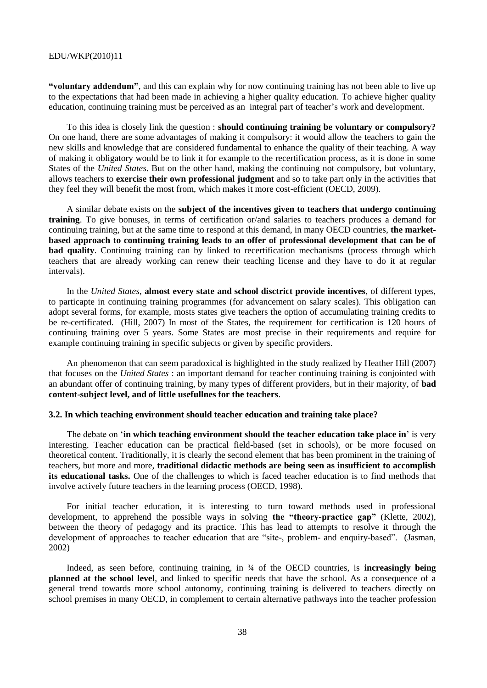**"voluntary addendum"**, and this can explain why for now continuing training has not been able to live up to the expectations that had been made in achieving a higher quality education. To achieve higher quality education, continuing training must be perceived as an integral part of teacher's work and development.

To this idea is closely link the question : **should continuing training be voluntary or compulsory?**  On one hand, there are some advantages of making it compulsory: it would allow the teachers to gain the new skills and knowledge that are considered fundamental to enhance the quality of their teaching. A way of making it obligatory would be to link it for example to the recertification process, as it is done in some States of the *United States*. But on the other hand, making the continuing not compulsory, but voluntary, allows teachers to **exercise their own professional judgment** and so to take part only in the activities that they feel they will benefit the most from, which makes it more cost-efficient (OECD, 2009).

A similar debate exists on the **subject of the incentives given to teachers that undergo continuing training**. To give bonuses, in terms of certification or/and salaries to teachers produces a demand for continuing training, but at the same time to respond at this demand, in many OECD countries, **the marketbased approach to continuing training leads to an offer of professional development that can be of bad quality**. Continuing training can by linked to recertification mechanisms (process through which teachers that are already working can renew their teaching license and they have to do it at regular intervals).

In the *United States*, **almost every state and school disctrict provide incentives**, of different types, to particapte in continuing training programmes (for advancement on salary scales). This obligation can adopt several forms, for example, mosts states give teachers the option of accumulating training credits to be re-certificated. (Hill, 2007) In most of the States, the requirement for certification is 120 hours of continuing training over 5 years. Some States are most precise in their requirements and require for example continuing training in specific subjects or given by specific providers.

An phenomenon that can seem paradoxical is highlighted in the study realized by Heather Hill (2007) that focuses on the *United States* : an important demand for teacher continuing training is conjointed with an abundant offer of continuing training, by many types of different providers, but in their majority, of **bad content-subject level, and of little usefullnes for the teachers**.

### **3.2. In which teaching environment should teacher education and training take place?**

The debate on ‗**in which teaching environment should the teacher education take place in**' is very interesting. Teacher education can be practical field-based (set in schools), or be more focused on theoretical content. Traditionally, it is clearly the second element that has been prominent in the training of teachers, but more and more, **traditional didactic methods are being seen as insufficient to accomplish its educational tasks.** One of the challenges to which is faced teacher education is to find methods that involve actively future teachers in the learning process (OECD, 1998).

For initial teacher education, it is interesting to turn toward methods used in professional development, to apprehend the possible ways in solving **the "theory-practice gap"** (Klette, 2002), between the theory of pedagogy and its practice. This has lead to attempts to resolve it through the development of approaches to teacher education that are "site-, problem- and enquiry-based". (Jasman, 2002)

Indeed, as seen before, continuing training, in ¾ of the OECD countries, is **increasingly being planned at the school level**, and linked to specific needs that have the school. As a consequence of a general trend towards more school autonomy, continuing training is delivered to teachers directly on school premises in many OECD, in complement to certain alternative pathways into the teacher profession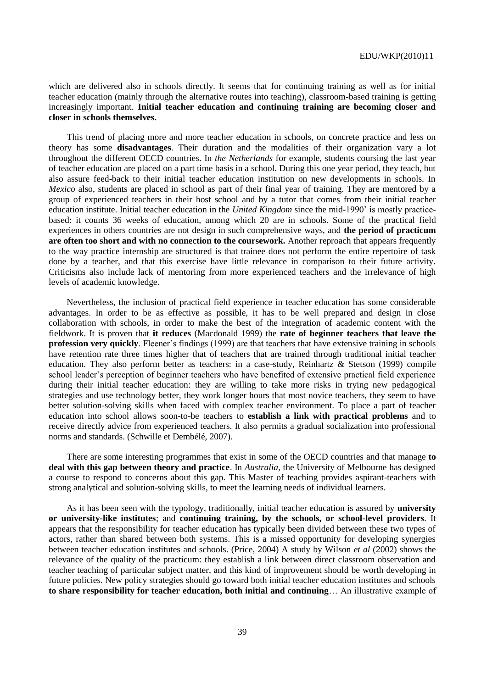which are delivered also in schools directly. It seems that for continuing training as well as for initial teacher education (mainly through the alternative routes into teaching), classroom-based training is getting increasingly important. **Initial teacher education and continuing training are becoming closer and closer in schools themselves.**

This trend of placing more and more teacher education in schools, on concrete practice and less on theory has some **disadvantages**. Their duration and the modalities of their organization vary a lot throughout the different OECD countries. In *the Netherlands* for example, students coursing the last year of teacher education are placed on a part time basis in a school. During this one year period, they teach, but also assure feed-back to their initial teacher education institution on new developments in schools. In *Mexico* also, students are placed in school as part of their final year of training. They are mentored by a group of experienced teachers in their host school and by a tutor that comes from their initial teacher education institute. Initial teacher education in the *United Kingdom* since the mid-1990' is mostly practicebased: it counts 36 weeks of education, among which 20 are in schools. Some of the practical field experiences in others countries are not design in such comprehensive ways, and **the period of practicum are often too short and with no connection to the coursework.** Another reproach that appears frequently to the way practice internship are structured is that trainee does not perform the entire repertoire of task done by a teacher, and that this exercise have little relevance in comparison to their future activity. Criticisms also include lack of mentoring from more experienced teachers and the irrelevance of high levels of academic knowledge.

Nevertheless, the inclusion of practical field experience in teacher education has some considerable advantages. In order to be as effective as possible, it has to be well prepared and design in close collaboration with schools, in order to make the best of the integration of academic content with the fieldwork. It is proven that **it reduces** (Macdonald 1999) the **rate of beginner teachers that leave the profession very quickly**. Fleener's findings (1999) are that teachers that have extensive training in schools have retention rate three times higher that of teachers that are trained through traditional initial teacher education. They also perform better as teachers: in a case-study, Reinhartz & Stetson (1999) compile school leader's perception of beginner teachers who have benefited of extensive practical field experience during their initial teacher education: they are willing to take more risks in trying new pedagogical strategies and use technology better, they work longer hours that most novice teachers, they seem to have better solution-solving skills when faced with complex teacher environment. To place a part of teacher education into school allows soon-to-be teachers to **establish a link with practical problems** and to receive directly advice from experienced teachers. It also permits a gradual socialization into professional norms and standards. (Schwille et Dembélé, 2007).

There are some interesting programmes that exist in some of the OECD countries and that manage **to deal with this gap between theory and practice**. In *Australia*, the University of Melbourne has designed a course to respond to concerns about this gap. This Master of teaching provides aspirant-teachers with strong analytical and solution-solving skills, to meet the learning needs of individual learners.

As it has been seen with the typology, traditionally, initial teacher education is assured by **university or university-like institutes**; and **continuing training, by the schools, or school-level providers**. It appears that the responsibility for teacher education has typically been divided between these two types of actors, rather than shared between both systems. This is a missed opportunity for developing synergies between teacher education institutes and schools. (Price, 2004) A study by Wilson *et al* (2002) shows the relevance of the quality of the practicum: they establish a link between direct classroom observation and teacher teaching of particular subject matter, and this kind of improvement should be worth developing in future policies. New policy strategies should go toward both initial teacher education institutes and schools **to share responsibility for teacher education, both initial and continuing**… An illustrative example of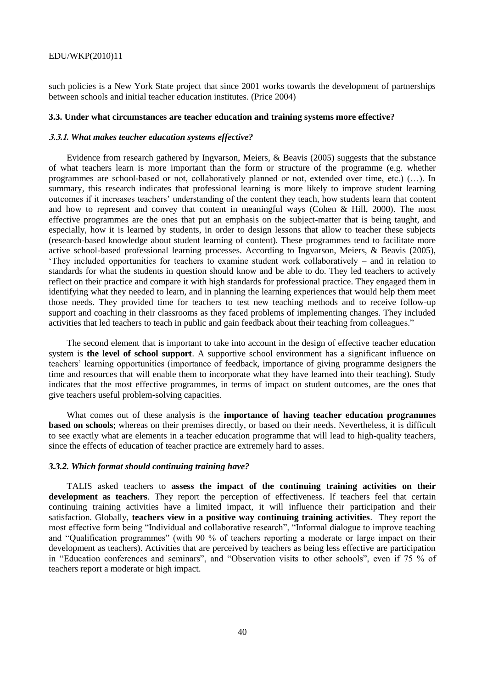such policies is a New York State project that since 2001 works towards the development of partnerships between schools and initial teacher education institutes. (Price 2004)

#### **3.3. Under what circumstances are teacher education and training systems more effective?**

### **3.3.1.** *What makes teacher education systems effective?*

Evidence from research gathered by Ingvarson, Meiers, & Beavis (2005) suggests that the substance of what teachers learn is more important than the form or structure of the programme (e.g. whether programmes are school-based or not, collaboratively planned or not, extended over time, etc.) (…). In summary, this research indicates that professional learning is more likely to improve student learning outcomes if it increases teachers' understanding of the content they teach, how students learn that content and how to represent and convey that content in meaningful ways (Cohen & Hill, 2000). The most effective programmes are the ones that put an emphasis on the subject-matter that is being taught, and especially, how it is learned by students, in order to design lessons that allow to teacher these subjects (research-based knowledge about student learning of content). These programmes tend to facilitate more active school-based professional learning processes. According to Ingvarson, Meiers, & Beavis (2005), ‗They included opportunities for teachers to examine student work collaboratively – and in relation to standards for what the students in question should know and be able to do. They led teachers to actively reflect on their practice and compare it with high standards for professional practice. They engaged them in identifying what they needed to learn, and in planning the learning experiences that would help them meet those needs. They provided time for teachers to test new teaching methods and to receive follow-up support and coaching in their classrooms as they faced problems of implementing changes. They included activities that led teachers to teach in public and gain feedback about their teaching from colleagues."

The second element that is important to take into account in the design of effective teacher education system is **the level of school support**. A supportive school environment has a significant influence on teachers' learning opportunities (importance of feedback, importance of giving programme designers the time and resources that will enable them to incorporate what they have learned into their teaching). Study indicates that the most effective programmes, in terms of impact on student outcomes, are the ones that give teachers useful problem-solving capacities.

What comes out of these analysis is the **importance of having teacher education programmes based on schools**; whereas on their premises directly, or based on their needs. Nevertheless, it is difficult to see exactly what are elements in a teacher education programme that will lead to high-quality teachers, since the effects of education of teacher practice are extremely hard to asses.

#### *3.3.2. Which format should continuing training have?*

TALIS asked teachers to **assess the impact of the continuing training activities on their development as teachers**. They report the perception of effectiveness. If teachers feel that certain continuing training activities have a limited impact, it will influence their participation and their satisfaction. Globally, **teachers view in a positive way continuing training activities**. They report the most effective form being "Individual and collaborative research", "Informal dialogue to improve teaching and "Qualification programmes" (with 90 % of teachers reporting a moderate or large impact on their development as teachers). Activities that are perceived by teachers as being less effective are participation in "Education conferences and seminars", and "Observation visits to other schools", even if 75 % of teachers report a moderate or high impact.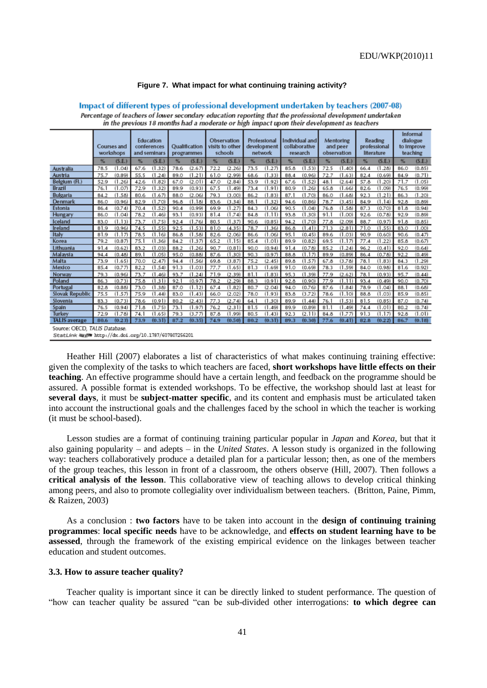### **Figure 7. What impact for what continuing training activity?**

| in the previous 18 months had a moderate or high impact upon their development as teachers |                                                      |      |                                          |      |                             |      |                                           |      |                                        |      |                                             |      |                                      |                                       |        |                                                |        |
|--------------------------------------------------------------------------------------------|------------------------------------------------------|------|------------------------------------------|------|-----------------------------|------|-------------------------------------------|------|----------------------------------------|------|---------------------------------------------|------|--------------------------------------|---------------------------------------|--------|------------------------------------------------|--------|
|                                                                                            | Courses and<br>workshops                             |      | Education<br>conferences<br>and seminars |      | Qualification<br>programmes |      | Observation<br>visits to other<br>schools |      | Professional<br>development<br>network |      | Individual and<br>collaborative<br>research |      | Mentoring<br>and peer<br>observation | Reading<br>professional<br>literature |        | Informal<br>dialogue<br>to Improve<br>teaching |        |
|                                                                                            | (S.E.)<br>$\%$                                       | $\%$ | (S.E.)                                   | $\%$ | (S.E.)                      | $\%$ | (S.E.)                                    | $\%$ | (S.E.)                                 | $\%$ | (S.E.)                                      | $\%$ | (S.E.)                               | $\%$                                  | (S.E.) | $\%$                                           | (S.E.) |
| <b>Australia</b>                                                                           | (1.04)<br>78.5                                       | 67.6 | (1.32)                                   | 78.6 | (2.67)                      | 72.2 | (2.26)                                    | 73.5 | (1.27)                                 | 85.8 | (1.53)                                      | 72.5 | (1.40)                               | 66.4                                  | (1.28) | 86.0                                           | (0.85) |
| Austria                                                                                    | 75.7<br>(0.89)                                       | 55.5 | (1.24)                                   | 89.0 | (1.21)                      | 61.0 | (2.99)                                    | 68.6 | (1.33)                                 | 88.4 | (0.96)                                      | 72.7 | (1.63)                               | 82.4                                  | (0.69) | 84.9                                           | (0.71) |
| Belgium (Fl.)                                                                              | (1.26)<br>52.9                                       | 42.6 | (1.82)                                   | 67.0 | (2.01)                      | 47.0 | (2.84)                                    | 53.9 | (1.92)                                 | 67.6 | (1.52)                                      | 48.1 | (2.64)                               | 57.8                                  | (1.20) | 71.7                                           | (1.05) |
| Brazil                                                                                     | (1.07)<br>76.1                                       | 72.9 | (1.32)                                   | 89.9 | (0.93)                      | 67.5 | (1.49)                                    | 73.4 | (1.91)                                 | 80.9 | (1.26)                                      | 65.8 | (1.66)                               | 82.6                                  | (1.09) | 76.5                                           | (0.99) |
| Bulgaria                                                                                   | (1.58)<br>84.2                                       | 80.6 | (1.67)                                   | 88.0 | (2.06)                      | 79.3 | (3,00)                                    | 86.2 | (1.83)                                 | 87.1 | (1.70)                                      | 86.0 | (1.68)                               | 92.3                                  | (1.21) | 86.3                                           | (1.20) |
| Denmark                                                                                    | (0.96)<br>86.0                                       | 82.9 | (1.70)                                   | 96.8 | (1.18)                      | 83.6 | (3.34)                                    | 88.1 | (1.32)                                 | 94.6 | (0.86)                                      | 78.7 | (3.45)                               | 84.9                                  | (1.14) | 92.8                                           | (0.89) |
| Estonia                                                                                    | (0.74)<br>86.4                                       | 70.4 | (1.52)                                   | 90.4 | (0.99)                      | 69.9 | (1.27)                                    | 84.3 | (1.06)                                 | 90.5 | (1.04)                                      | 76.8 | (1.58)                               | 87.3                                  | (0.70) | 81.8                                           | (0.94) |
| Hungary                                                                                    | (1.04)<br>86.0                                       | 78.2 | (1.46)                                   | 93.1 | (0.93)                      | 81.4 | (1.74)                                    | 84.8 | (1.11)                                 | 93.8 | (1.30)                                      | 91.1 | (1.00)                               | 92.6                                  | (0.78) | 92.9                                           | (0.89) |
| Iceland                                                                                    | (1.13)<br>83.0                                       | 73.7 | (1.75)                                   | 92.4 | (1.76)                      | 80.5 | (1.37)                                    | 90.6 | (0.85)                                 | 94.2 | (1.70)                                      | 77.8 | (2.09)                               | 88.7                                  | (0.97) | 91.8                                           | (0.85) |
| Ireland                                                                                    | 81.9<br>(0.96)                                       | 74.5 | (1.55)                                   | 92.5 | (1.53)                      | 81.0 | (4.35)                                    | 78.7 | (1.36)                                 | 86.8 | (1.41)                                      | 71.3 | (2.81)                               | 71.0                                  | (1.55) | 83.0                                           | (1.00) |
| Italy                                                                                      | (1.17)<br>81.9                                       | 78.5 | (1.16)                                   | 86.8 | (1.58)                      | 82.6 | (2.06)                                    | 86.6 | (1.06)                                 | 95.1 | (0.45)                                      | 89.6 | (1.03)                               | 90.9                                  | (0.60) | 90.6                                           | (0.47) |
| Korea                                                                                      | 79.2<br>(0.87)                                       | 75.1 | (1.36)                                   | 84.2 | (1.37)                      | 65.2 | (1.15)                                    | 85.4 | (1.01)                                 | 89.9 | (0.82)                                      | 69.5 | (1.17)                               | 77.4                                  | (1.22) | 85.8                                           | (0.67) |
| Lithuania                                                                                  | 91.4<br>(0.62)                                       | 83.2 | (1.03)                                   | 88.2 | (1.26)                      | 90.7 | (0.81)                                    | 90.0 | (0.94)                                 | 91.4 | (0.78)                                      | 85.2 | (1.24)                               | 96.2                                  | (0.41) | 92.0                                           | (0.64) |
| Malaysia                                                                                   | (0.48)<br>94.4                                       | 89.1 | (1.05)                                   | 95.0 | (0.88)                      | 87.6 | (1.30)                                    | 90.3 | (0.97)                                 | 88.8 | (1.17)                                      | 89.9 | (0.89)                               | 86.4                                  | (0.78) | 92.2                                           | (0.49) |
| Malta                                                                                      | (1.65)<br>73.9                                       | 70.0 | (2.47)                                   | 94.4 | (1.56)                      | 69.8 | (3.87)                                    | 75.2 | (2.45)                                 | 89.8 | (1.57)                                      | 67.8 | (3.78)                               | 78.1                                  | (1.83) | 84.3                                           | (1.29) |
| Mexico                                                                                     | 85.4<br>(0.77)                                       | 82.2 | (1.54)                                   | 91.3 | (1.03)                      | 77.7 | (1.65)                                    | 81.3 | (1.69)                                 | 91.0 | (0.69)                                      | 78.3 | (1.59)                               | 84.0                                  | (0.98) | 81.6                                           | (0.92) |
| Norway                                                                                     | 79.3<br>(0.96)                                       | 73.7 | (1.46)                                   | 93.7 | (1.24)                      | 71.9 | (2.39)                                    | 81.1 | (1.83)                                 | 95.3 | (1.39)                                      | 77.9 | (2.62)                               | 78.1                                  | (0.93) | 95.7                                           | (0.44) |
| Poland                                                                                     | (0.73)<br>86.3                                       | 75.8 | (1.31)                                   | 92.1 | (0.97)                      | 78.2 | (2.29)                                    | 88.3 | (0.91)                                 | 92.8 | (0.90)                                      | 77.9 | (1.11)                               | 93.4                                  | (0.49) | 90.0                                           | (0.70) |
| Portugal                                                                                   | 82.8<br>(0.88)                                       | 73.0 | (1.38)                                   | 87.0 | (1.12)                      | 67.4 | (1.82)                                    | 80.7 | (2.04)                                 | 94.0 | (0.76)                                      | 87.6 | (1.84)                               | 78.9                                  | (1.04) | 88.1                                           | (0.68) |
| Slovak Republic                                                                            | 75.5<br>(1.57)                                       | 75.9 | (1.44)                                   | 83.0 | (1.43)                      | 66.0 | (2.02)                                    | 78.0 | (1.93)                                 | 83.8 | (3.72)                                      | 78.6 | (1.10)                               | 88.8                                  | (1.03) | 85.9                                           | (0.85) |
| Slovenia                                                                                   | (0.73)<br>83.3                                       | 78.6 | (0.91)                                   | 80.2 | (2.43)                      | 77.3 | (2.74)                                    | 64.1 | (1.30)                                 | 89.9 | .44)                                        | 76.1 | (1.53)                               | 81.5                                  | (0.85) | 87.0                                           | (0.74) |
| Spaln                                                                                      | (0.94)<br>76.5                                       | 71.8 | (1.75)                                   | 73.1 | (1.97)                      | 76.2 | (2.31)                                    | 81.5 | (1.49)                                 | 89.9 | (0.89)                                      | 81.1 | (1.49)                               | 74.4                                  | (1.01) | 80.2                                           | (0.74) |
| <b>Turkey</b>                                                                              | 72.9<br>(1.78)                                       | 74.1 | (1.65)                                   | 79.3 | (3.77)                      | 87.8 | (1.99)                                    | 80.5 | (1.43)                                 | 92.3 | (2.11)                                      | 84.8 | (1.77)                               | 91.3                                  | (1.17) | 92.8                                           | (1.01) |
| <b>TALIS</b> average                                                                       | (0.23)<br>80.6                                       | 73.9 | (0.31)                                   | 87.2 | (0.35)                      | 74.9 | (0.50)                                    | 80.2 | (0.31)                                 | 89.3 | (0.30)                                      | 77.6 | (0.41)                               | 82.8                                  | (0.22) | 86.7                                           | (0.18) |
| Source: OECD, TALIS Database.                                                              |                                                      |      |                                          |      |                             |      |                                           |      |                                        |      |                                             |      |                                      |                                       |        |                                                |        |
|                                                                                            | StatLink Nugh http://dx.doi.org/10.1787/607807256201 |      |                                          |      |                             |      |                                           |      |                                        |      |                                             |      |                                      |                                       |        |                                                |        |

Impact of different types of professional development undertaken by teachers (2007-08) Percentage of teachers of lower secondary education reporting that the professional development undertaken

Heather Hill (2007) elaborates a list of characteristics of what makes continuing training effective: given the complexity of the tasks to which teachers are faced, **short workshops have little effects on their teaching**. An effective programme should have a certain length, and feedback on the programme should be assured. A possible format is extended workshops. To be effective, the workshop should last at least for **several days**, it must be **subject-matter specific**, and its content and emphasis must be articulated taken into account the instructional goals and the challenges faced by the school in which the teacher is working (it must be school-based).

Lesson studies are a format of continuing training particular popular in *Japan* and *Korea*, but that it also gaining popularity – and adepts – in the *United States*. A lesson study is organized in the following way: teachers collaboratively produce a detailed plan for a particular lesson; then, as one of the members of the group teaches, this lesson in front of a classroom, the others observe (Hill, 2007). Then follows a **critical analysis of the lesson**. This collaborative view of teaching allows to develop critical thinking among peers, and also to promote collegiality over individualism between teachers. (Britton, Paine, Pimm, & Raizen, 2003)

As a conclusion : **two factors** have to be taken into account in the **design of continuing training programmes**: **local specific needs** have to be acknowledge, and **effects on student learning have to be assessed**, through the framework of the existing empirical evidence on the linkages between teacher education and student outcomes.

### **3.3. How to assure teacher quality?**

Teacher quality is important since it can be directly linked to student performance. The question of ―how can teacher quality be assured ―can be sub-divided other interrogations: **to which degree can**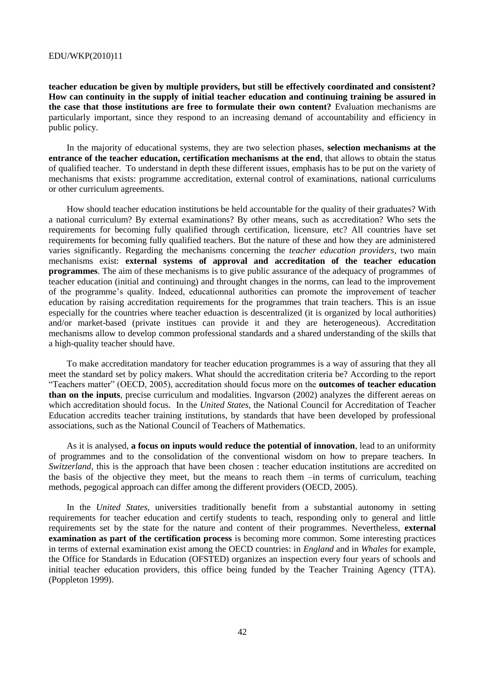**teacher education be given by multiple providers, but still be effectively coordinated and consistent? How can continuity in the supply of initial teacher education and continuing training be assured in the case that those institutions are free to formulate their own content?** Evaluation mechanisms are particularly important, since they respond to an increasing demand of accountability and efficiency in public policy.

In the majority of educational systems, they are two selection phases, **selection mechanisms at the entrance of the teacher education, certification mechanisms at the end**, that allows to obtain the status of qualified teacher. To understand in depth these different issues, emphasis has to be put on the variety of mechanisms that exists: programme accreditation, external control of examinations, national curriculums or other curriculum agreements.

How should teacher education institutions be held accountable for the quality of their graduates? With a national curriculum? By external examinations? By other means, such as accreditation? Who sets the requirements for becoming fully qualified through certification, licensure, etc? All countries have set requirements for becoming fully qualified teachers. But the nature of these and how they are administered varies significantly. Regarding the mechanisms concerning the *teacher education providers*, two main mechanisms exist: **external systems of approval and accreditation of the teacher education programmes**. The aim of these mechanisms is to give public assurance of the adequacy of programmes of teacher education (initial and continuing) and throught changes in the norms, can lead to the improvement of the programme's quality. Indeed, educationnal authorities can promote the improvement of teacher education by raising accreditation requirements for the programmes that train teachers. This is an issue especially for the countries where teacher eduaction is descentralized (it is organized by local authorities) and/or market-based (private institues can provide it and they are heterogeneous). Accreditation mechanisms allow to develop common professional standards and a shared understanding of the skills that a high-quality teacher should have.

To make accreditation mandatory for teacher education programmes is a way of assuring that they all meet the standard set by policy makers. What should the accreditation criteria be? According to the report ―Teachers matter‖ (OECD, 2005), accreditation should focus more on the **outcomes of teacher education than on the inputs**, precise curriculum and modalities. Ingvarson (2002) analyzes the different aereas on which accreditation should focus. In the *United States*, the National Council for Accreditation of Teacher Education accredits teacher training institutions, by standards that have been developed by professional associations, such as the National Council of Teachers of Mathematics.

As it is analysed, **a focus on inputs would reduce the potential of innovation**, lead to an uniformity of programmes and to the consolidation of the conventional wisdom on how to prepare teachers. In *Switzerland*, this is the approach that have been chosen : teacher education institutions are accredited on the basis of the objective they meet, but the means to reach them –in terms of curriculum, teaching methods, pegogical approach can differ among the different providers (OECD, 2005).

In the *United States*, universities traditionally benefit from a substantial autonomy in setting requirements for teacher education and certify students to teach, responding only to general and little requirements set by the state for the nature and content of their programmes. Nevertheless, **external examination as part of the certification process** is becoming more common. Some interesting practices in terms of external examination exist among the OECD countries: in *England* and in *Whales* for example, the Office for Standards in Education (OFSTED) organizes an inspection every four years of schools and initial teacher education providers, this office being funded by the Teacher Training Agency (TTA). (Poppleton 1999).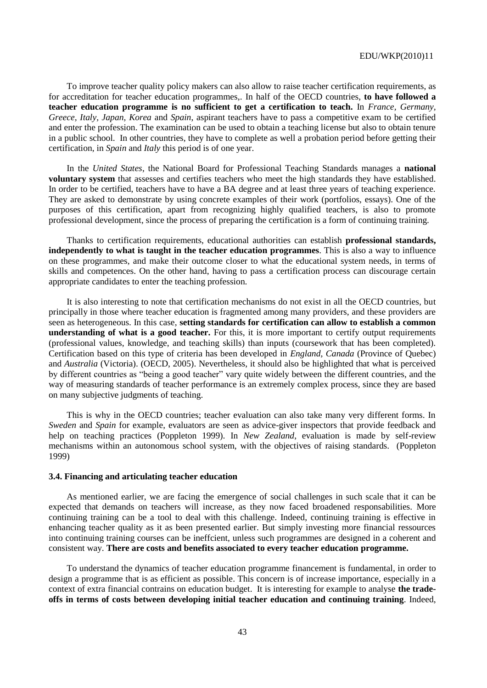To improve teacher quality policy makers can also allow to raise teacher certification requirements, as for accreditation for teacher education programmes,. In half of the OECD countries, **to have followed a teacher education programme is no sufficient to get a certification to teach.** In *France, Germany, Greece, Italy, Japan, Korea* and *Spain*, aspirant teachers have to pass a competitive exam to be certified and enter the profession. The examination can be used to obtain a teaching license but also to obtain tenure in a public school. In other countries, they have to complete as well a probation period before getting their certification, in *Spain* and *Italy* this period is of one year.

In the *United States*, the National Board for Professional Teaching Standards manages a **national voluntary system** that assesses and certifies teachers who meet the high standards they have established. In order to be certified, teachers have to have a BA degree and at least three years of teaching experience. They are asked to demonstrate by using concrete examples of their work (portfolios, essays). One of the purposes of this certification, apart from recognizing highly qualified teachers, is also to promote professional development, since the process of preparing the certification is a form of continuing training.

Thanks to certification requirements, educational authorities can establish **professional standards, independently to what is taught in the teacher education programmes**. This is also a way to influence on these programmes, and make their outcome closer to what the educational system needs, in terms of skills and competences. On the other hand, having to pass a certification process can discourage certain appropriate candidates to enter the teaching profession.

It is also interesting to note that certification mechanisms do not exist in all the OECD countries, but principally in those where teacher education is fragmented among many providers, and these providers are seen as heterogeneous. In this case, **setting standards for certification can allow to establish a common understanding of what is a good teacher.** For this, it is more important to certify output requirements (professional values, knowledge, and teaching skills) than inputs (coursework that has been completed). Certification based on this type of criteria has been developed in *England, Canada* (Province of Quebec) and *Australia* (Victoria). (OECD, 2005). Nevertheless, it should also be highlighted that what is perceived by different countries as "being a good teacher" vary quite widely between the different countries, and the way of measuring standards of teacher performance is an extremely complex process, since they are based on many subjective judgments of teaching.

This is why in the OECD countries; teacher evaluation can also take many very different forms. In *Sweden* and *Spain* for example, evaluators are seen as advice-giver inspectors that provide feedback and help on teaching practices (Poppleton 1999). In *New Zealand*, evaluation is made by self-review mechanisms within an autonomous school system, with the objectives of raising standards. (Poppleton 1999)

### **3.4. Financing and articulating teacher education**

As mentioned earlier, we are facing the emergence of social challenges in such scale that it can be expected that demands on teachers will increase, as they now faced broadened responsabilities. More continuing training can be a tool to deal with this challenge. Indeed, continuing training is effective in enhancing teacher quality as it as been presented earlier. But simply investing more financial ressources into continuing training courses can be ineffcient, unless such programmes are designed in a coherent and consistent way. **There are costs and benefits associated to every teacher education programme.**

To understand the dynamics of teacher education programme financement is fundamental, in order to design a programme that is as efficient as possible. This concern is of increase importance, especially in a context of extra financial contrains on education budget. It is interesting for example to analyse **the tradeoffs in terms of costs between developing initial teacher education and continuing training**. Indeed,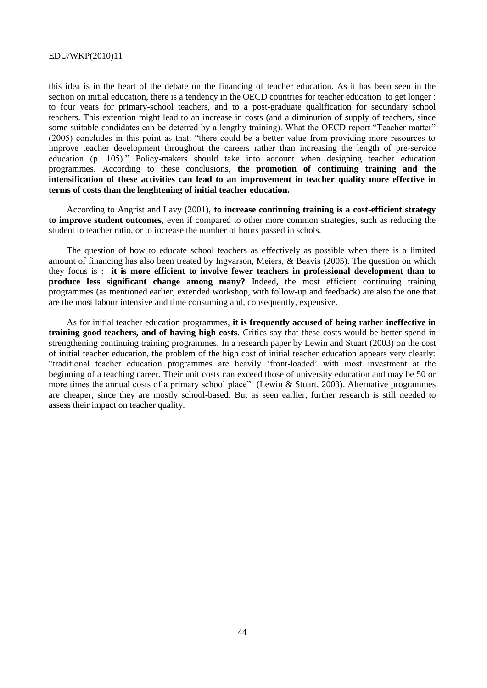this idea is in the heart of the debate on the financing of teacher education. As it has been seen in the section on initial education, there is a tendency in the OECD countries for teacher education to get longer : to four years for primary-school teachers, and to a post-graduate qualification for secundary school teachers. This extention might lead to an increase in costs (and a diminution of supply of teachers, since some suitable candidates can be deterred by a lengthy training). What the OECD report "Teacher matter" (2005) concludes in this point as that: "there could be a better value from providing more resources to improve teacher development throughout the careers rather than increasing the length of pre-service education (p. 105)." Policy-makers should take into account when designing teacher education programmes. According to these conclusions, **the promotion of continuing training and the intensification of these activities can lead to an improvement in teacher quality more effective in terms of costs than the lenghtening of initial teacher education.**

According to Angrist and Lavy (2001), **to increase continuing training is a cost-efficient strategy to improve student outcomes**, even if compared to other more common strategies, such as reducing the student to teacher ratio, or to increase the number of hours passed in schols.

The question of how to educate school teachers as effectively as possible when there is a limited amount of financing has also been treated by Ingvarson, Meiers, & Beavis (2005). The question on which they focus is : **it is more efficient to involve fewer teachers in professional development than to produce less significant change among many?** Indeed, the most efficient continuing training programmes (as mentioned earlier, extended workshop, with follow-up and feedback) are also the one that are the most labour intensive and time consuming and, consequently, expensive.

As for initial teacher education programmes, **it is frequently accused of being rather ineffective in training good teachers, and of having high costs.** Critics say that these costs would be better spend in strengthening continuing training programmes. In a research paper by Lewin and Stuart (2003) on the cost of initial teacher education, the problem of the high cost of initial teacher education appears very clearly: ―traditional teacher education programmes are heavily ‗front-loaded' with most investment at the beginning of a teaching career. Their unit costs can exceed those of university education and may be 50 or more times the annual costs of a primary school place" (Lewin & Stuart, 2003). Alternative programmes are cheaper, since they are mostly school-based. But as seen earlier, further research is still needed to assess their impact on teacher quality.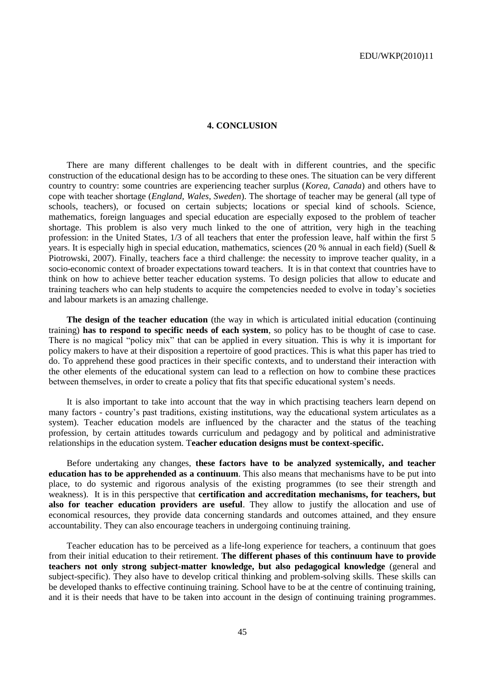#### **4. CONCLUSION**

There are many different challenges to be dealt with in different countries, and the specific construction of the educational design has to be according to these ones. The situation can be very different country to country: some countries are experiencing teacher surplus (*Korea, Canada*) and others have to cope with teacher shortage (*England, Wales, Sweden*). The shortage of teacher may be general (all type of schools, teachers), or focused on certain subjects; locations or special kind of schools. Science, mathematics, foreign languages and special education are especially exposed to the problem of teacher shortage. This problem is also very much linked to the one of attrition, very high in the teaching profession: in the United States, 1/3 of all teachers that enter the profession leave, half within the first 5 years. It is especially high in special education, mathematics, sciences (20 % annual in each field) (Suell & Piotrowski, 2007). Finally, teachers face a third challenge: the necessity to improve teacher quality, in a socio-economic context of broader expectations toward teachers. It is in that context that countries have to think on how to achieve better teacher education systems. To design policies that allow to educate and training teachers who can help students to acquire the competencies needed to evolve in today's societies and labour markets is an amazing challenge.

**The design of the teacher education** (the way in which is articulated initial education (continuing training) **has to respond to specific needs of each system**, so policy has to be thought of case to case. There is no magical "policy mix" that can be applied in every situation. This is why it is important for policy makers to have at their disposition a repertoire of good practices. This is what this paper has tried to do. To apprehend these good practices in their specific contexts, and to understand their interaction with the other elements of the educational system can lead to a reflection on how to combine these practices between themselves, in order to create a policy that fits that specific educational system's needs.

It is also important to take into account that the way in which practising teachers learn depend on many factors - country's past traditions, existing institutions, way the educational system articulates as a system). Teacher education models are influenced by the character and the status of the teaching profession, by certain attitudes towards curriculum and pedagogy and by political and administrative relationships in the education system. T**eacher education designs must be context-specific.** 

Before undertaking any changes, **these factors have to be analyzed systemically, and teacher education has to be apprehended as a continuum**. This also means that mechanisms have to be put into place, to do systemic and rigorous analysis of the existing programmes (to see their strength and weakness). It is in this perspective that **certification and accreditation mechanisms, for teachers, but also for teacher education providers are useful**. They allow to justify the allocation and use of economical resources, they provide data concerning standards and outcomes attained, and they ensure accountability. They can also encourage teachers in undergoing continuing training.

Teacher education has to be perceived as a life-long experience for teachers, a continuum that goes from their initial education to their retirement. **The different phases of this continuum have to provide teachers not only strong subject-matter knowledge, but also pedagogical knowledge** (general and subject-specific). They also have to develop critical thinking and problem-solving skills. These skills can be developed thanks to effective continuing training. School have to be at the centre of continuing training, and it is their needs that have to be taken into account in the design of continuing training programmes.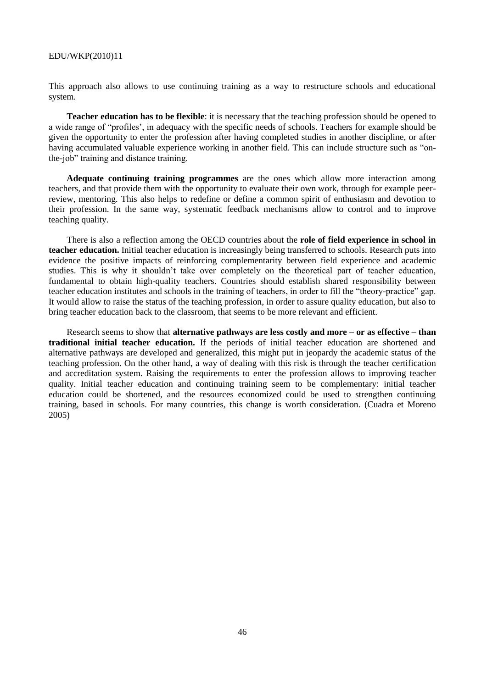This approach also allows to use continuing training as a way to restructure schools and educational system.

**Teacher education has to be flexible**: it is necessary that the teaching profession should be opened to a wide range of "profiles', in adequacy with the specific needs of schools. Teachers for example should be given the opportunity to enter the profession after having completed studies in another discipline, or after having accumulated valuable experience working in another field. This can include structure such as "onthe-job" training and distance training.

**Adequate continuing training programmes** are the ones which allow more interaction among teachers, and that provide them with the opportunity to evaluate their own work, through for example peerreview, mentoring. This also helps to redefine or define a common spirit of enthusiasm and devotion to their profession. In the same way, systematic feedback mechanisms allow to control and to improve teaching quality.

There is also a reflection among the OECD countries about the **role of field experience in school in teacher education.** Initial teacher education is increasingly being transferred to schools. Research puts into evidence the positive impacts of reinforcing complementarity between field experience and academic studies. This is why it shouldn't take over completely on the theoretical part of teacher education, fundamental to obtain high-quality teachers. Countries should establish shared responsibility between teacher education institutes and schools in the training of teachers, in order to fill the "theory-practice" gap. It would allow to raise the status of the teaching profession, in order to assure quality education, but also to bring teacher education back to the classroom, that seems to be more relevant and efficient.

Research seems to show that **alternative pathways are less costly and more – or as effective – than traditional initial teacher education.** If the periods of initial teacher education are shortened and alternative pathways are developed and generalized, this might put in jeopardy the academic status of the teaching profession. On the other hand, a way of dealing with this risk is through the teacher certification and accreditation system. Raising the requirements to enter the profession allows to improving teacher quality. Initial teacher education and continuing training seem to be complementary: initial teacher education could be shortened, and the resources economized could be used to strengthen continuing training, based in schools. For many countries, this change is worth consideration. (Cuadra et Moreno 2005)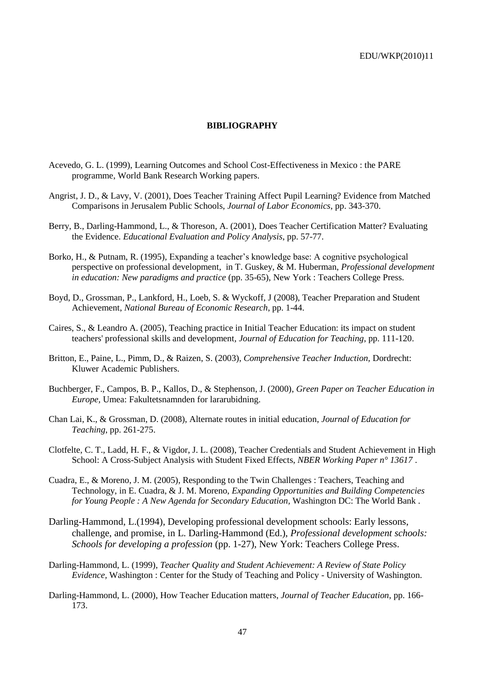### **BIBLIOGRAPHY**

- Acevedo, G. L. (1999), Learning Outcomes and School Cost-Effectiveness in Mexico : the PARE programme, World Bank Research Working papers.
- Angrist, J. D., & Lavy, V. (2001), Does Teacher Training Affect Pupil Learning? Evidence from Matched Comparisons in Jerusalem Public Schools, *Journal of Labor Economics*, pp. 343-370.
- Berry, B., Darling-Hammond, L., & Thoreson, A. (2001), Does Teacher Certification Matter? Evaluating the Evidence. *Educational Evaluation and Policy Analysis*, pp. 57-77.
- Borko, H., & Putnam, R. (1995), Expanding a teacher's knowledge base: A cognitive psychological perspective on professional development, in T. Guskey, & M. Huberman, *Professional development in education: New paradigms and practice* (pp. 35-65), New York : Teachers College Press.
- Boyd, D., Grossman, P., Lankford, H., Loeb, S. & Wyckoff, J (2008), Teacher Preparation and Student Achievement, *National Bureau of Economic Research*, pp. 1-44.
- Caires, S., & Leandro A. (2005), Teaching practice in Initial Teacher Education: its impact on student teachers' professional skills and development*, Journal of Education for Teaching*, pp. 111-120.
- Britton, E., Paine, L., Pimm, D., & Raizen, S. (2003), *Comprehensive Teacher Induction,* Dordrecht: Kluwer Academic Publishers.
- Buchberger, F., Campos, B. P., Kallos, D., & Stephenson, J. (2000), *Green Paper on Teacher Education in Europe,* Umea: Fakultetsnamnden for lararubidning.
- Chan Lai, K., & Grossman, D. (2008), Alternate routes in initial education, *Journal of Education for Teaching*, pp. 261-275.
- Clotfelte, C. T., Ladd, H. F., & Vigdor, J. L. (2008), Teacher Credentials and Student Achievement in High School: A Cross-Subject Analysis with Student Fixed Effects, *NBER Working Paper n° 13617* .
- Cuadra, E., & Moreno, J. M. (2005), Responding to the Twin Challenges : Teachers, Teaching and Technology, in E. Cuadra, & J. M. Moreno, *Expanding Opportunities and Building Competencies for Young People : A New Agenda for Secondary Education,* Washington DC: The World Bank .
- Darling-Hammond, L.(1994), Developing professional development schools: Early lessons, challenge, and promise, in L. Darling-Hammond (Ed.), *Professional development schools: Schools for developing a profession* (pp. 1-27), New York: Teachers College Press.
- Darling-Hammond, L. (1999), *Teacher Quality and Student Achievement: A Review of State Policy Evidence,* Washington : Center for the Study of Teaching and Policy - University of Washington.
- Darling-Hammond, L. (2000), How Teacher Education matters, *Journal of Teacher Education*, pp. 166- 173.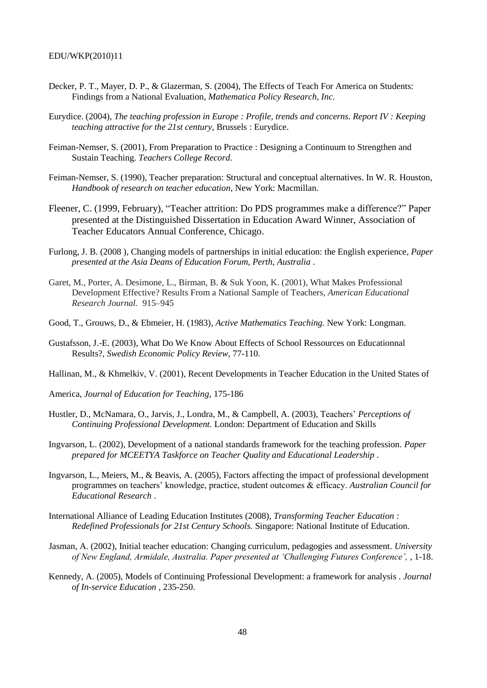- Decker, P. T., Mayer, D. P., & Glazerman, S. (2004), The Effects of Teach For America on Students: Findings from a National Evaluation, *Mathematica Policy Research, Inc.*
- Eurydice. (2004), *The teaching profession in Europe : Profile, trends and concerns. Report IV : Keeping teaching attractive for the 21st century,* Brussels : Eurydice.
- Feiman-Nemser, S. (2001), From Preparation to Practice : Designing a Continuum to Strengthen and Sustain Teaching. *Teachers College Record*.
- Feiman-Nemser, S. (1990), Teacher preparation: Structural and conceptual alternatives. In W. R. Houston, *Handbook of research on teacher education,* New York: Macmillan.
- Fleener, C. (1999, February), "Teacher attrition: Do PDS programmes make a difference?" Paper presented at the Distinguished Dissertation in Education Award Winner, Association of Teacher Educators Annual Conference, Chicago.
- Furlong, J. B. (2008 ), Changing models of partnerships in initial education: the English experience, *Paper presented at the Asia Deans of Education Forum, Perth, Australia* .
- Garet, M., Porter, A. Desimone, L., Birman, B. & Suk Yoon, K. (2001), What Makes Professional Development Effective? Results From a National Sample of Teachers, *American Educational Research Journal.* 915–945
- Good, T., Grouws, D., & Ebmeier, H. (1983), *Active Mathematics Teaching.* New York: Longman.
- Gustafsson, J.-E. (2003), What Do We Know About Effects of School Ressources on Educationnal Results?, *Swedish Economic Policy Review*, 77-110.
- Hallinan, M., & Khmelkiv, V. (2001), Recent Developments in Teacher Education in the United States of
- America, *Journal of Education for Teaching,* 175-186
- Hustler, D., McNamara, O., Jarvis, J., Londra, M., & Campbell, A. (2003), Teachers' *Perceptions of Continuing Professional Development.* London: Department of Education and Skills
- Ingvarson, L. (2002), Development of a national standards framework for the teaching profession. *Paper prepared for MCEETYA Taskforce on Teacher Quality and Educational Leadership* .
- Ingvarson, L., Meiers, M., & Beavis, A. (2005), Factors affecting the impact of professional development programmes on teachers' knowledge, practice, student outcomes & efficacy. *Australian Council for Educational Research* .
- International Alliance of Leading Education Institutes (2008), *Transforming Teacher Education : Redefined Professionals for 21st Century Schools.* Singapore: National Institute of Education.
- Jasman, A. (2002), Initial teacher education: Changing curriculum, pedagogies and assessment. *University of New England, Armidale, Australia. Paper presented at "Challenging Futures Conference",* , 1-18.
- Kennedy, A. (2005), Models of Continuing Professional Development: a framework for analysis . *Journal of In-service Education* , 235-250.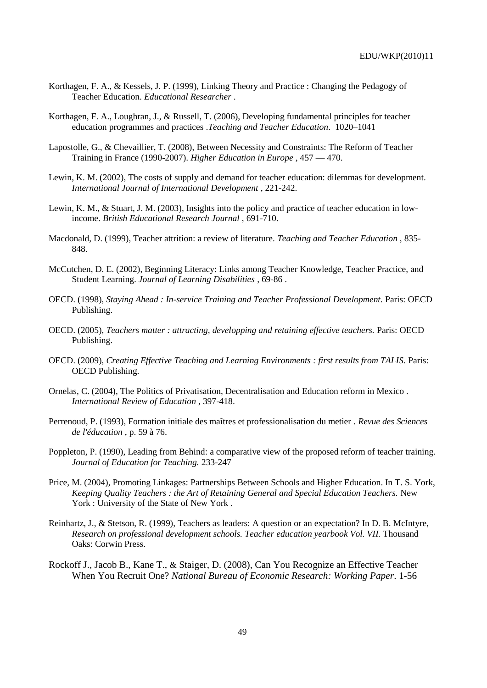- Korthagen, F. A., & Kessels, J. P. (1999), Linking Theory and Practice : Changing the Pedagogy of Teacher Education. *Educational Researcher* .
- Korthagen, F. A., Loughran, J., & Russell, T. (2006), Developing fundamental principles for teacher education programmes and practices .*Teaching and Teacher Education*. 1020–1041
- Lapostolle, G., & Chevaillier, T. (2008), Between Necessity and Constraints: The Reform of Teacher Training in France (1990-2007). *Higher Education in Europe* , 457 — 470.
- Lewin, K. M. (2002), The costs of supply and demand for teacher education: dilemmas for development. *International Journal of International Development* , 221-242.
- Lewin, K. M., & Stuart, J. M. (2003), Insights into the policy and practice of teacher education in lowincome. *British Educational Research Journal* , 691-710.
- Macdonald, D. (1999), Teacher attrition: a review of literature. *Teaching and Teacher Education* , 835- 848.
- McCutchen, D. E. (2002), Beginning Literacy: Links among Teacher Knowledge, Teacher Practice, and Student Learning. *Journal of Learning Disabilities* , 69-86 .
- OECD. (1998), *Staying Ahead : In-service Training and Teacher Professional Development.* Paris: OECD Publishing.
- OECD. (2005), *Teachers matter : attracting, developping and retaining effective teachers.* Paris: OECD Publishing.
- OECD. (2009), *Creating Effective Teaching and Learning Environments : first results from TALIS.* Paris: OECD Publishing.
- Ornelas, C. (2004), The Politics of Privatisation, Decentralisation and Education reform in Mexico . *International Review of Education* , 397-418.
- Perrenoud, P. (1993), Formation initiale des maîtres et professionalisation du metier . *Revue des Sciences de l'éducation* , p. 59 à 76.
- Poppleton, P. (1990), Leading from Behind: a comparative view of the proposed reform of teacher training. *Journal of Education for Teaching.* 233-247
- Price, M. (2004), Promoting Linkages: Partnerships Between Schools and Higher Education. In T. S. York, *Keeping Quality Teachers : the Art of Retaining General and Special Education Teachers.* New York : University of the State of New York .
- Reinhartz, J., & Stetson, R. (1999), Teachers as leaders: A question or an expectation? In D. B. McIntyre, *Research on professional development schools. Teacher education yearbook Vol. VII.* Thousand Oaks: Corwin Press.
- Rockoff J., Jacob B., Kane T., & Staiger, D. (2008), Can You Recognize an Effective Teacher When You Recruit One? *National Bureau of Economic Research: Working Paper*. 1-56